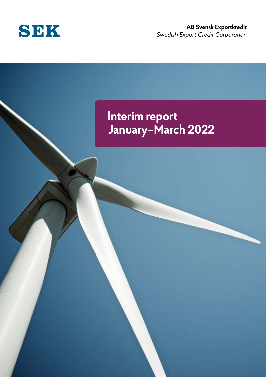

### **AB Svensk Exportkredit** *Swedish Export Credit Corporation*

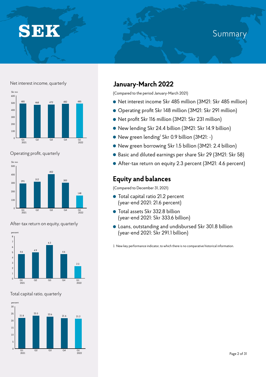# **SEK**

## Summa

#### Net interest income, quarterly



Operating profit, quarterly







#### Total capital ratio, quarterly



### **January-March 2022**

(Compared to the period January-March 2021)

- Net interest income Skr 485 million (3M21: Skr 485 million)
- Operating profit Skr 148 million (3M21: Skr 291 million)
- Net profit Skr 116 million (3M21: Skr 231 million)
- New lending Skr 24.4 billion (3M21: Skr 14.9 billion)
- New green lending<sup>1</sup> Skr 0.9 billion (3M21: -)
- New green borrowing Skr 1.5 billion (3M21: 2.4 billion)
- Basic and diluted earnings per share Skr 29 (3M21: Skr 58)
- After-tax return on equity 2.3 percent (3M21: 4.6 percent)

### **Equity and balances**

(Compared to December 31, 2021)

- Total capital ratio 21.2 percent (year-end 2021: 21.6 percent)
- Total assets Skr 332.8 billion (year-end 2021: Skr 333.6 billion)
- Loans, outstanding and undisbursed Skr 301.8 billion (year-end 2021: Skr 291.1 billion)

1 New key performance indicator, to which there is no comparative historical information.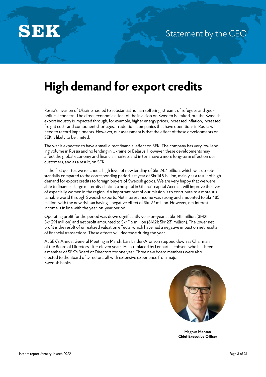

## **High demand for export credits**

Russia's invasion of Ukraine has led to substantial human suffering, streams of refugees and geopolitical concern. The direct economic effect of the invasion on Sweden is limited, but the Swedish export industry is impacted through, for example, higher energy prices, increased inflation, increased freight costs and component shortages. In addition, companies that have operations in Russia will need to record impairments. However, our assessment is that the effect of these developments on SEK is likely to be limited.

The war is expected to have a small direct financial effect on SEK. The company has very low lending volume in Russia and no lending in Ukraine or Belarus. However, these developments may affect the global economy and financial markets and in turn have a more long-term effect on our customers, and as a result, on SEK.

In the first quarter, we reached a high level of new lending of Skr 24.4 billion, which was up substantially compared to the corresponding period last year of Skr 14.9 billion, mainly as a result of high demand for export credits to foreign buyers of Swedish goods. We are very happy that we were able to finance a large maternity clinic at a hospital in Ghana's capital Accra. It will improve the lives of especially women in the region. An important part of our mission is to contribute to a more sustainable world through Swedish exports. Net interest income was strong and amounted to Skr 485 million, with the new risk tax having a negative effect of Skr 27 million. However, net interest income is in line with the year-on-year period.

Operating profit for the period was down significantly year-on-year at Skr 148 million (3M21: Skr 291 million) and net profit amounted to Skr 116 million (3M21: Skr 231 million). The lower net profit is the result of unrealized valuation effects, which have had a negative impact on net results of financial transactions. These effects will decrease during the year.

At SEK's Annual General Meeting in March, Lars Linder-Aronson stepped down as Chairman of the Board of Directors after eleven years. He is replaced by Lennart Jacobsen, who has been a member of SEK's Board of Directors for one year. Three new board members were also elected to the Board of Directors, all with extensive experience from major Swedish banks.



**Magnus Montan Chief Executive Officer**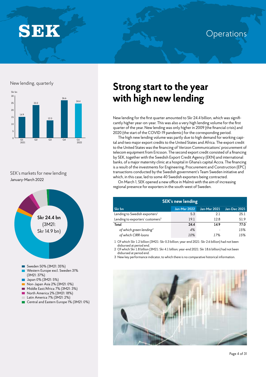SEK

## **Operations**

#### New lending, quarterly



#### SEK's markets for new lending January-March 2022



## **Strong start to the year with high new lending**

New lending for the first quarter amounted to Skr 24.4 billion, which was significantly higher year-on-year. This was also a very high lending volume for the first quarter of the year. New lending was only higher in 2009 (the financial crisis) and 2020 (the start of the COVID-19 pandemic) for the corresponding period.

The high new lending volume was partly due to high demand for working capital and two major export credits to the United States and Africa. The export credit to the United States was the financing of Verizon Communications' procurement of telecom equipment from Ericsson. The second export credit consisted of a financing by SEK, together with the Swedish Export Credit Agency (EKN) and international banks, of a major maternity clinic at a hospital in Ghana's capital Accra. The financing is a result of the investments for Engineering, Procurement and Construction (EPC) transactions conducted by the Swedish government's Team Sweden initiative and which, in this case, led to some 40 Swedish exporters being contracted.

On March 1, SEK opened a new office in Malmö with the aim of increasing regional presence for exporters in the south-west of Sweden.

| <b>SEK's new lending</b>                     |                     |              |              |  |  |  |
|----------------------------------------------|---------------------|--------------|--------------|--|--|--|
| Skr bn                                       | <b>Jan-Mar 2022</b> | Jan-Mar 2021 | Jan-Dec 2021 |  |  |  |
| Lending to Swedish exporters <sup>1</sup>    | 5.3                 | 21           | 25.1         |  |  |  |
| Lending to exporters' customers <sup>2</sup> | 19.1                | 12.8         | 51.9         |  |  |  |
| Total                                        | 24.4                | 14.9         | 77.0         |  |  |  |
| of which green lending <sup>3</sup>          | 4%                  |              | 15%          |  |  |  |
| of which CIRR-loans                          | 10%                 | 17%          | 15%          |  |  |  |

1 Of which Skr 1.2 billion (3M21: Skr 0.3 billion; year-end 2021: Skr 2.6 billion) had not been

disbursed at period end. 2 Of which Skr 1.8 billion (3M21: Skr 4.1 billion; year-end 2021: Skr 18.6 billion) had not been disbursed at period end.

3 New key performance indicator, to which there is no comparative historical information.

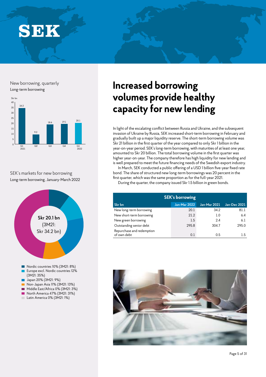**SEK** 

New borrowing, quarterly



SEK's markets for new borrowing Long-term borrowing, January-March 2022



## New borrowing, quarterly **Increased borrowing volumes provide healthy capacity for new lending**

In light of the escalating conflict between Russia and Ukraine, and the subsequent invasion of Ukraine by Russia, SEK increased short-term borrowing in February and gradually built up a major liquidity reserve. The short-term borrowing volume was Skr 21 billion in the first quarter of the year compared to only Skr 1 billion in the year-on-year period. SEK's long-term borrowing, with maturities of at least one year, amounted to Skr 20 billion. The total borrowing volume in the first quarter was higher year-on-year. The company therefore has high liquidity for new lending and is well prepared to meet the future financing needs of the Swedish export industry.

In March, SEK conducted a public offering of a USD 1 billion five-year fixed rate bond. The share of structured new long-term borrowings was 20 percent in the first quarter, which was the same proportion as for the full-year 2021.

During the quarter, the company issued Skr 1.5 billion in green bonds.

| <b>SEK's borrowing</b>                   |                     |                     |              |  |  |  |
|------------------------------------------|---------------------|---------------------|--------------|--|--|--|
| Skr bn                                   | <b>Jan-Mar 2022</b> | <b>Jan-Mar 2021</b> | Jan-Dec 2021 |  |  |  |
| New long-term borrowing                  | 20.1                | 34.2                | 81.1         |  |  |  |
| New short-term borrowing                 | 21.2                | 1.0                 | 6.4          |  |  |  |
| New green borrowing                      | 1.5                 | 24                  | 6.1          |  |  |  |
| Outstanding senior debt                  | 295.8               | 304.7               | 295.0        |  |  |  |
| Repurchase and redemption<br>of own debt | 0.1                 | 0.5                 | 1.5          |  |  |  |

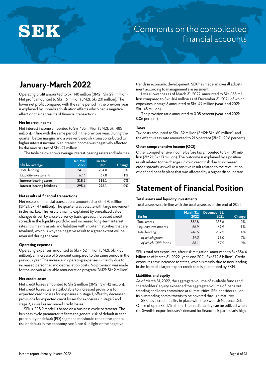

## Comments on the consolidated financial accounts

## **January-March 2022**

Operating profit amounted to Skr 148 million (3M21: Skr 291 million). Net profit amounted to Skr 116 million (3M21: Skr 231 million). The lower net profit compared with the same period in the previous year is explained by unrealized valuation effects which had a negative effect on the net results of financial transactions.

#### **Net interest income**

Net interest income amounted to Skr 485 million (3M21: Skr 485 million), in line with the same period in the previous year. During the quarter, better margins and a weaker Swedish krona contributed to higher interest income. Net interest income was negatively affected by the new risk tax of Skr -27 million.

The table below shows average interest-bearing assets and liabilities.

| Skr bn, average              | Jan-Mar<br>2022 | Jan-Mar<br>2021 | <b>Change</b> |
|------------------------------|-----------------|-----------------|---------------|
| Total lending                | 241.8           | 234.0           | 3%            |
| Liquidity investments        | 67.4            | 678             | $-1\%$        |
| Interest-bearing assets      | 318.5           | 318.1           | 0%            |
| Interest-bearing liabilities | 295.4           | 296.1           | 0%            |

#### **Net results of financial transactions**

Net results of financial transactions amounted to Skr -170 million (3M21: Skr -17 million). The quarter was volatile with large movement in the market. The result is mainly explained by unrealized value changes driven by cross-currency basis spreads, increased credit spreads in the liquidity portfolio and increased long-term interest rates. It is mainly assets and liabilities with shorter maturities that are revalued, which is why the negative result to a great extent will be reversed during the year.

#### **Operating expenses**

Operating expenses amounted to Skr -162 million (3M21: Skr -155 million), an increase of 5 percent compared to the same period in the previous year. The increase in operating expenses is mainly due to increased personnel and depreciation costs. No provision was made for the individual variable remuneration program (3M21: Skr 2 million).

#### **Net credit losses**

Net credit losses amounted to Skr 2 million (3M21: Skr -12 million). Net credit losses were attributable to increased provisions for expected credit losses for exposures in stage 1, offset by decreased provisions for expected credit losses for exposures in stage 2 and stage 3, as well as recovered credit losses.

SEK's IFRS 9 model is based on a business cycle parameter. The business cycle parameter reflects the general risk of default in each probability of default (PD) segment and should reflect the general risk of default in the economy, see Note 4. In light of the negative

trends in economic development, SEK has made an overall adjustment according to management's assessment.

Loss allowances as of March 31, 2022, amounted to Skr -168 million compared to Skr -164 million as of December 31, 2021, of which exposures in stage 3 amounted to Skr -49 million (year-end 2021: Skr -48 million).

The provision ratio amounted to 0.05 percent (year-end 2021: 0.06 percent).

#### **Taxes**

Tax costs amounted to Skr -32 million (3M21: Skr -60 million), and the effective tax rate amounted to 21.6 percent (3M21: 20.6 percent).

#### **Other comprehensive income (OCI)**

Other comprehensive income before tax amounted to Skr 100 million (3M21: Skr 13 million). The outcome is explained by a positive result related to the changes in own credit risk due to increased credit spreads, as well as a positive result related to the revaluation of defined benefit plans that was affected by a higher discount rate.

### **Statement of Financial Position**

#### **Total assets and liquidity investments**

Total assets were in line with the total assets as of the end of 2021.

| Skr bn                | March 31.<br>2022 | December 31.<br>2021 | Change |
|-----------------------|-------------------|----------------------|--------|
| Total assets          | 332.8             | 333.6                | 0%     |
| Liquidity investments | 66.9              | 67.9                 | $-1\%$ |
| Total lending         | 246.5             | 237.2                | 4%     |
| of which green        | 19.3              | 18.0                 | 7%     |
| of which CIRR-loans   | 88.1              | 879                  | 0%     |

SEK's total net exposures, after risk mitigation, amounted to Skr 384.4 billion as of March 31, 2022 (year-end 2021: Skr 372.5 billion). Credit exposures have increased to states, which is mainly due to new lending in the form of a larger export credit that is guaranteed by EKN.

#### **Liabilities and equity**

As of March 31, 2022, the aggregate volume of available funds and shareholders' equity exceeded the aggregate volume of loans outstanding and loans committed at all maturities. SEK considers all of its outstanding commitments to be covered through maturity.

SEK has a credit facility in place with the Swedish National Debt Office of up to Skr 175 billion. The credit facility can be utilized when the Swedish export industry's demand for financing is particularly high.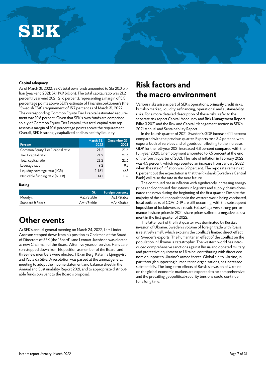# SEK

#### **Capital adequacy**

As of March 31, 2022, SEK's total own funds amounted to Skr 20.0 billion (year-end 2021: Skr 19.9 billion). The total capital ratio was 21.2 percent (year-end 2021: 21.6 percent), representing a margin of 5.5 percentage points above SEK's estimate of Finansinspektionen's (the "Swedish FSA") requirement of 15.7 percent as of March 31, 2022. The corresponding Common Equity Tier 1 capital estimated requirement was 10.6 percent. Given that SEK's own funds are comprised solely of Common Equity Tier 1 capital, this total capital ratio represents a margin of 10.6 percentage points above the requirement. Overall, SEK is strongly capitalized and has healthy liquidity.

| Percent                            | March 31,<br>2022 | December 31.<br>2021 |
|------------------------------------|-------------------|----------------------|
| Common Equity Tier 1 capital ratio | 21.2              | 21.6                 |
| Tier 1 capital ratio               | 21.2              | 21.6                 |
| Total capital ratio                | 21.2              | 21.6                 |
| Leverage ratio                     | 92                | 9.3                  |
| Liquidity coverage ratio (LCR)     | 1,161             | 463                  |
| Net stable funding ratio (NSFR)    | 141               | 139                  |

#### **Rating**

|                   | <b>Skr</b> | Foreign currency |
|-------------------|------------|------------------|
| Moody's           | Aa1/Stable | Aa1/Stable       |
| Standard & Poor's | AA+/Stable | AA+/Stable       |

### **Other events**

At SEK's annual general meeting on March 24, 2022, Lars Linder-Aronson stepped down from his position as Chairman of the Board of Directors of SEK (the "Board") and Lennart Jacobsen was elected as new Chairman of the Board. After five years of service, Hans Larsson stepped down from his position as member of the Board, and three new members were elected: Håkan Berg, Katarina Ljungqvist and Paula da Silva. A resolution was passed at the annual general meeting to adopt the income statement and balance sheet in the Annual and Sustainability Report 2021, and to appropriate distributable funds pursuant to the Board's proposal.

### **Risk factors and the macro environment**

Various risks arise as part of SEK's operations, primarily credit risks, but also market, liquidity, refinancing, operational and sustainability risks. For a more detailed description of these risks, refer to the separate risk report Capital Adequacy and Risk Management Report Pillar 3 2021 and the Risk and Capital Management section in SEK's 2021 Annual and Sustainability Report.

In the fourth quarter of 2021, Sweden's GDP increased 1.1 percent compared with the previous quarter. Exports rose 3.4 percent, with exports both of services and of goods contributing to the increase. GDP for the full-year 2021 increased 4.8 percent compared with the full-year 2020. Unemployment amounted to 7.5 percent at the end of the fourth quarter of 2021. The rate of inflation in February 2022 was 4.5 percent, which represented an increase from January 2022 when the rate of inflation was 3.9 percent. The repo rate remains at 0 percent but the expectation is that the Riksbank (Sweden's Central Bank) will raise the rate in the near future.

The continued rise in inflation with significantly increasing energy prices and continued disruptions in logistics and supply chains dominated the news during the beginning of the first quarter. Despite the majority of the adult population in the western world being vaccinated, local outbreaks of COVID-19 are still occurring, with the subsequent imposition of lockdowns as a result. Following a very strong performance in share prices in 2021, share prices suffered a negative adjustment in the first quarter of 2022.

The latter part of the first quarter was dominated by Russia's invasion of Ukraine. Sweden's volume of foreign trade with Russia is relatively small, which explains the conflict's limited direct effect on Sweden's exports. The humanitarian effect of the conflict on the population in Ukraine is catastrophic. The western world has introduced comprehensive sanctions against Russia and donated military and protective equipment to Ukraine, contributing with direct economic support to Ukraine's armed forces. Global aid to Ukraine, in part through supporting humanitarian organizations, has increased substantially. The long-term effects of Russia's invasion of Ukraine on the global economic markets are expected to be comprehensive and the prevailing geopolitical-security tensions could continue for a long time.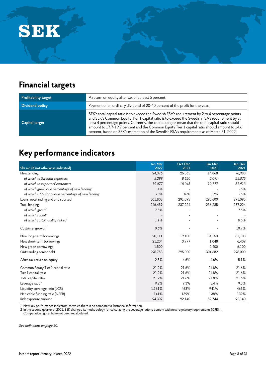

## **Financial targets**

| Profitability target | A return on equity after tax of at least 5 percent.                                                                                                                                                                                                                                                                                                                                                                                                                                                   |
|----------------------|-------------------------------------------------------------------------------------------------------------------------------------------------------------------------------------------------------------------------------------------------------------------------------------------------------------------------------------------------------------------------------------------------------------------------------------------------------------------------------------------------------|
| Dividend policy      | Payment of an ordinary dividend of 20-40 percent of the profit for the year.                                                                                                                                                                                                                                                                                                                                                                                                                          |
| Capital target       | SEK's total capital ratio is to exceed the Swedish FSA's requirement by 2 to 4 percentage points<br>and SEK's Common Equity Tier 1 capital ratio is to exceed the Swedish FSA's requirement by at<br>least 4 percentage points. Currently, the capital targets mean that the total capital ratio should<br>amount to 17.7-19.7 percent and the Common Equity Tier 1 capital ratio should amount to 14.6<br>percent, based on SEK's estimation of the Swedish FSA's requirements as of March 31, 2022. |

## **Key performance indicators**

| Skr mn (if not otherwise indicated)                | Jan-Mar<br>2022 | Oct-Dec<br>2021 | Jan-Mar<br>2021 | Jan-Dec<br>2021 |
|----------------------------------------------------|-----------------|-----------------|-----------------|-----------------|
| New lending                                        | 24,376          | 26,565          | 14,868          | 76,988          |
| of which to Swedish exporters                      | 5,299           | 8,520           | 2.091           | 25,075          |
| of which to exporters' customers                   | 19,077          | 18,045          | 12,777          | 51,913          |
| of which green as a percentage of new lending $1$  | 4%              |                 |                 | 15%             |
| of which CIRR-loans as a percentage of new lending | 10%             | 10%             | 17%             | 15%             |
| Loans, outstanding and undisbursed                 | 301,808         | 291,095         | 290,600         | 291,095         |
| Total lending                                      | 246,459         | 237,224         | 236,235         | 237,224         |
| of which green <sup>1</sup>                        | 7.8%            |                 |                 | 7.5%            |
| of which social <sup>1</sup>                       |                 |                 |                 |                 |
| of which sustainability-linked <sup>1</sup>        | 1.1%            |                 |                 | 0.5%            |
| Customer growth <sup>1</sup>                       | 0.6%            |                 |                 | 10.7%           |
| New long-term borrowings                           | 20,111          | 19,100          | 34,153          | 81,103          |
| New short-term borrowings                          | 21,204          | 3,777           | 1,048           | 6,409           |
| New green borrowings                               | 1,500           |                 | 2,400           | 6,100           |
| Outstanding senior debt                            | 295,753         | 295,000         | 304,682         | 295,000         |
| After-tax return on equity                         | 2.3%            | 4.6%            | 4.6%            | 5.1%            |
| Common Equity Tier 1 capital ratio                 | 21.2%           | 21.6%           | 21.8%           | 21.6%           |
| Tier 1 capital ratio                               | 21.2%           | 21.6%           | 21.8%           | 21.6%           |
| Total capital ratio                                | 21.2%           | 21.6%           | 21.8%           | 21.6%           |
| Leverage ratio <sup>2</sup>                        | 9.2%            | 9.3%            | 5.4%            | 9.3%            |
| Liquidity coverage ratio (LCR)                     | 1,161%          | 463%            | 941%            | 463%            |
| Net stable funding ratio (NSFR)                    | 141%            | 139%            | 138%            | 139%            |
| Risk exposure amount                               | 94,307          | 92,140          | 89,744          | 92,140          |

1 New key performance indicators, to which there is no comparative historical information.

2 In the second quarter of 2021, SEK changed its methodology for calculating the Leverage ratio to comply with new regulatory requirements (CRRII).

Comparative figures have not been recalculated.

*See definitions on page 30.*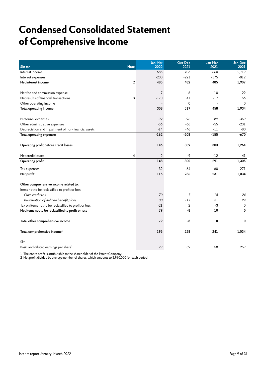## **Condensed Consolidated Statement of Comprehensive Income**

| Skr mn<br><b>Note</b>                                 | Jan-Mar<br>2022 | Oct-Dec<br>2021 | Jan-Mar<br>2021 | Jan-Dec<br>2021 |
|-------------------------------------------------------|-----------------|-----------------|-----------------|-----------------|
| Interest income                                       | 685             | 703             | 660             | 2,719           |
| Interest expenses                                     | $-200$          | $-221$          | $-175$          | $-812$          |
| $\overline{2}$<br>Net interest income                 | 485             | 482             | 485             | 1,907           |
|                                                       |                 |                 |                 |                 |
| Net fee and commission expense                        | $-7$            | -6              | $-10$           | $-29$           |
| Net results of financial transactions<br>3            | $-170$          | 41              | $-17$           | 56              |
| Other operating income                                |                 | $\mathbf 0$     |                 | $\mathbf 0$     |
| Total operating income                                | 308             | 517             | 458             | 1,934           |
|                                                       |                 |                 |                 |                 |
| Personnel expenses                                    | $-92$           | -96             | $-89$           | $-359$          |
| Other administrative expenses                         | $-56$           | -66             | $-55$           | $-231$          |
| Depreciation and impairment of non-financial assets   | $-14$           | -46             | $-11$           | $-80$           |
| Total operating expenses                              | $-162$          | $-208$          | $-155$          | $-670$          |
| Operating profit before credit losses                 | 146             | 309             | 303             | 1,264           |
| Net credit losses<br>4                                | $\overline{2}$  | $-9$            | $-12$           | 41              |
| Operating profit                                      | 148             | 300             | 291             | 1,305           |
| Tax expenses                                          | $-32$           | $-64$           | $-60$           | $-271$          |
| Net profit <sup>1</sup>                               | 116             | 236             | 231             | 1,034           |
| Other comprehensive income related to:                |                 |                 |                 |                 |
| Items not to be reclassified to profit or loss        |                 |                 |                 |                 |
| Own credit risk                                       | 70              | 7               | -18             | $-24$           |
| Revaluation of defined benefit plans                  | 30              | $-17$           | 31              | 24              |
| Tax on items not to be reclassified to profit or loss | $-21$           | 2               | $-3$            | $\pmb{0}$       |
| Net items not to be reclassified to profit or loss    | 79              | -8              | 10              | 0               |
| Total other comprehensive income                      | 79              | -8              | 10              | 0               |
| Total comprehensive income $^1$                       | 195             | 228             | 241             | 1,034           |
| Skr                                                   |                 |                 |                 |                 |
| Basic and diluted earnings per share <sup>2</sup>     | 29              | 59              | 58              | 259             |

1 The entire profit is attributable to the shareholder of the Parent Company.

2 Net profit divided by average number of shares, which amounts to 3,990,000 for each period.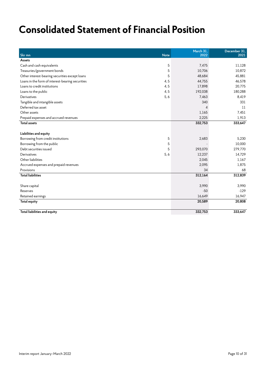## **Consolidated Statement of Financial Position**

| Skr mn                                           | <b>Note</b> | March 31,<br>2022 | December 31,<br>2021 |
|--------------------------------------------------|-------------|-------------------|----------------------|
| Assets                                           |             |                   |                      |
| Cash and cash equivalents                        | 5           | 7,475             | 11,128               |
| Treasuries/government bonds                      | 5           | 10,706            | 10,872               |
| Other interest-bearing securities except loans   | 5           | 48,684            | 45,881               |
| Loans in the form of interest-bearing securities | 4, 5        | 44,755            | 46,578               |
| Loans to credit institutions                     | 4,5         | 17,898            | 20,775               |
| Loans to the public                              | 4, 5        | 192,038           | 180,288              |
| Derivatives                                      | 5, 6        | 7,463             | 8,419                |
| Tangible and intangible assets                   |             | 340               | 331                  |
| Deferred tax asset                               |             | $\Lambda$         | 11                   |
| Other assets                                     |             | 1,165             | 7,451                |
| Prepaid expenses and accrued revenues            |             | 2,225             | 1,913                |
| <b>Total assets</b>                              |             | 332,753           | 333,647              |
|                                                  |             |                   |                      |
| Liabilities and equity                           |             |                   |                      |
| Borrowing from credit institutions               | 5           | 2,683             | 5,230                |
| Borrowing from the public                        | 5           |                   | 10,000               |
| Debt securities issued                           | 5           | 293,070           | 279,770              |
| Derivatives                                      | 5, 6        | 12,237            | 14,729               |
| Other liabilities                                |             | 2,045             | 1,167                |
| Accrued expenses and prepaid revenues            |             | 2,095             | 1,875                |
| Provisions                                       |             | 34                | 68                   |
| <b>Total liabilities</b>                         |             | 312,164           | 312,839              |
|                                                  |             |                   |                      |
| Share capital                                    |             | 3,990             | 3,990                |
| Reserves                                         |             | $-50$             | $-129$               |
| Retained earnings                                |             | 16,649            | 16,947               |
| Total equity                                     |             | 20,589            | 20,808               |
| Total liabilities and equity                     |             | 332.753           | 333.647              |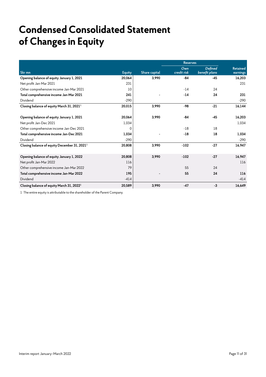## **Condensed Consolidated Statement of Changes in Equity**

|                                                          |               | <b>Reserves</b> |             |                |                 |
|----------------------------------------------------------|---------------|-----------------|-------------|----------------|-----------------|
|                                                          |               |                 | Own         | <b>Defined</b> | <b>Retained</b> |
| Skr mn                                                   | <b>Equity</b> | Share capital   | credit risk | benefit plans  | earnings        |
| Opening balance of equity January 1, 2021                | 20,064        | 3,990           | -84         | -45            | 16,203          |
| Net profit Jan-Mar 2021                                  | 231           |                 |             |                | 231             |
| Other comprehensive income Jan-Mar 2021                  | 10            |                 | $-14$       | 24             |                 |
| Total comprehensive income Jan-Mar 2021                  | 241           |                 | $-14$       | 24             | 231             |
| Dividend                                                 | $-290$        |                 |             |                | $-290$          |
| Closing balance of equity March 31, 2021 <sup>1</sup>    | 20,015        | 3,990           | $-98$       | $-21$          | 16,144          |
|                                                          |               |                 |             |                |                 |
| Opening balance of equity January 1, 2021                | 20,064        | 3,990           | -84         | $-45$          | 16,203          |
| Net profit Jan-Dec 2021                                  | 1,034         |                 |             |                | 1,034           |
| Other comprehensive income Jan-Dec 2021                  | 0             |                 | $-18$       | 18             |                 |
| Total comprehensive income Jan-Dec 2021                  | 1,034         |                 | $-18$       | 18             | 1,034           |
| Dividend                                                 | $-290$        |                 |             |                | $-290$          |
| Closing balance of equity December 31, 2021 <sup>1</sup> | 20,808        | 3,990           | $-102$      | $-27$          | 16,947          |
|                                                          |               |                 |             |                |                 |
| Opening balance of equity January 1, 2022                | 20,808        | 3,990           | $-102$      | $-27$          | 16,947          |
| Net profit Jan-Mar 2022                                  | 116           |                 |             |                | 116             |
| Other comprehensive income Jan-Mar 2022                  | 79            |                 | 55          | 24             |                 |
| Total comprehensive income Jan-Mar 2022                  | 195           |                 | 55          | 24             | 116             |
| Dividend                                                 | $-414$        |                 |             |                | $-414$          |
| Closing balance of equity March 31, 2022 <sup>1</sup>    | 20,589        | 3,990           | $-47$       | $-3$           | 16,649          |

1 The entire equity is attributable to the shareholder of the Parent Company.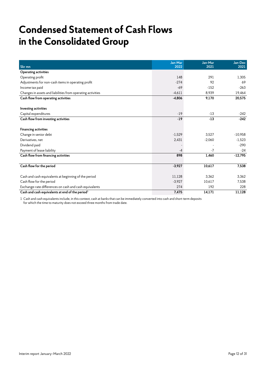## **Condensed Statement of Cash Flows in the Consolidated Group**

|                                                             | Jan-Mar  | Jan-Mar  | Jan-Dec   |
|-------------------------------------------------------------|----------|----------|-----------|
| Skr mn                                                      | 2022     | 2021     | 2021      |
| <b>Operating activities</b>                                 |          |          |           |
| Operating profit                                            | 148      | 291      | 1,305     |
| Adjustments for non-cash items in operating profit          | $-274$   | 92       | 69        |
| Income tax paid                                             | $-69$    | $-152$   | $-263$    |
| Changes in assets and liabilities from operating activities | $-4,611$ | 8,939    | 19,464    |
| Cash flow from operating activities                         | $-4,806$ | 9,170    | 20,575    |
| <b>Investing activities</b>                                 |          |          |           |
| Capital expenditures                                        | $-19$    | $-13$    | $-242$    |
| Cash flow from investing activities                         | $-19$    | $-13$    | $-242$    |
| <b>Financing activities</b>                                 |          |          |           |
| Change in senior debt                                       | $-1,529$ | 3.527    | $-10,958$ |
| Derivatives, net                                            | 2,431    | $-2,060$ | $-1,523$  |
| Dividend paid                                               |          |          | $-290$    |
| Payment of lease liability                                  | $-4$     | $-7$     | $-24$     |
| Cash flow from financing activities                         | 898      | 1,460    | $-12,795$ |
| Cash flow for the period                                    | $-3,927$ | 10,617   | 7,538     |
| Cash and cash equivalents at beginning of the period        | 11,128   | 3,362    | 3,362     |
| Cash flow for the period                                    | $-3,927$ | 10.617   | 7,538     |
| Exchange-rate differences on cash and cash equivalents      | 274      | 192      | 228       |
| Cash and cash equivalents at end of the period $1$          | 7,475    | 14,171   | 11,128    |

1 Cash and cash equivalents include, in this context, cash at banks that can be immediately converted into cash and short-term deposits for which the time to maturity does not exceed three months from trade date.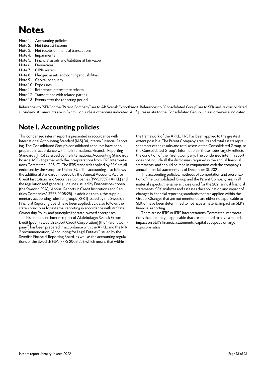## **Notes**

- Note 1. Accounting policies
- Note 2. Net interest income
- Note 3. Net results of financial transactions
- Note 4. Impairments
- Note 5. Financial assets and liabilities at fair value
- Note 6. Derivatives
- Note 7. CIRR-system
- Note 8. Pledged assets and contingent liabilities
- Note 9. Capital adequacy
- Note 10. Exposures
- Note 11. Reference interest rate reform
- Note 12. Transactions with related parties
- Note 13. Events after the reporting period

References to "SEK" or the "Parent Company" are to AB Svensk Exportkredit. References to "Consolidated Group" are to SEK and its consolidated subsidiary. All amounts are in Skr million, unless otherwise indicated. All figures relate to the Consolidated Group, unless otherwise indicated.

### **Note 1. Accounting policies**

This condensed interim report is presented in accordance with International Accounting Standard (IAS) 34, Interim Financial Reporting. The Consolidated Group's consolidated accounts have been prepared in accordance with the International Financial Reporting Standards (IFRS) as issued by the International Accounting Standards Board (IASB), together with the interpretations from IFRS Interpretations Committee (IFRS IC). The IFRS standards applied by SEK are all endorsed by the European Union (EU). The accounting also follows the additional standards imposed by the Annual Accounts Act for Credit Institutions and Securities Companies (1995:1559) (ÅRKL) and the regulation and general guidelines issued by Finansinspektionen (the Swedish FSA), "Annual Reports in Credit Institutions and Securities Companies" (FFFS 2008:25). In addition to this, the supplementary accounting rules for groups (RFR 1) issued by the Swedish Financial Reporting Board have been applied. SEK also follows the state's principles for external reporting in accordance with its State Ownership Policy and principles for state-owned enterprises.

This condensed interim report of Aktiebolaget Svensk Exportkredit (publ) (Swedish Export Credit Corporation) (the "Parent Company") has been prepared in accordance with the ÅRKL, and the RFR 2 recommendation, "Accounting for Legal Entities," issued by the Swedish Financial Reporting Board, as well as the accounting regulations of the Swedish FSA (FFFS 2008:25), which means that within

the framework of the ÅRKL, IFRS has been applied to the greatest extent possible. The Parent Company's results and total assets represent most of the results and total assets of the Consolidated Group, so the Consolidated Group's information in these notes largely reflects the condition of the Parent Company. The condensed interim report does not include all the disclosures required in the annual financial statements, and should be read in conjunction with the company's annual financial statements as of December 31, 2021.

The accounting policies, methods of computation and presentation of the Consolidated Group and the Parent Company are, in all material aspects, the same as those used for the 2021 annual financial statements. SEK analyzes and assesses the application and impact of changes in financial reporting standards that are applied within the Group. Changes that are not mentioned are either not applicable to SEK or have been determined to not have a material impact on SEK's financial reporting.

There are no IFRS or IFRS Interpretations Committee interpretations that are not yet applicable that are expected to have a material impact on SEK's financial statements, capital adequacy or large exposure ratios.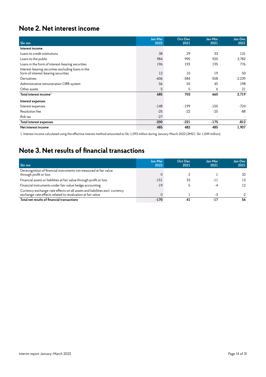### **Note 2. Net interest income**

| Skr mn                                                                                    | Jan-Mar<br>2022 | Oct-Dec<br>2021 | Jan-Mar<br>2021 | Jan-Dec<br>2021 |
|-------------------------------------------------------------------------------------------|-----------------|-----------------|-----------------|-----------------|
| Interest income                                                                           |                 |                 |                 |                 |
| Loans to credit institutions                                                              | 38              | 29              | 33              | 131             |
| Loans to the public                                                                       | 984             | 995             | 920             | 3,782           |
| Loans in the form of interest-bearing securities                                          | 196             | 193             | 195             | 776             |
| Interest-bearing securities excluding loans in the<br>form of interest-bearing securities | 12              | 10              | 19              | 50              |
| Derivatives                                                                               | $-606$          | $-584$          | $-558$          | $-2,239$        |
| Administrative remuneration CIRR-system                                                   | 56              | 55              | 45              | 198             |
| Other assets                                                                              | 5               | 5               | 6               | 21              |
| Total interest income $^1$                                                                | 685             | 703             | 660             | 2,719           |
| Interest expenses                                                                         |                 |                 |                 |                 |
| Interest expenses                                                                         | $-148$          | $-199$          | $-150$          | $-724$          |
| Resolution fee                                                                            | $-25$           | $-22$           | $-25$           | $-88$           |
| Risk tax                                                                                  | $-27$           |                 |                 |                 |
| Total interest expenses                                                                   | $-200$          | $-221$          | $-175$          | $-812$          |
| Net interest income                                                                       | 485             | 482             | 485             | 1,907           |

1 Interest income calculated using the effective interest method amounted to Skr 1,093 million during January-March 2022 (3M21: Skr 1,049 million).

### **Note 3. Net results of financial transactions**

| Skr mn                                                                                                                                    | Jan-Mar<br>2022 | Oct-Dec<br>2021 | Jan-Mar<br>2021 | Jan-Dec<br>2021 |
|-------------------------------------------------------------------------------------------------------------------------------------------|-----------------|-----------------|-----------------|-----------------|
| Derecognition of financial instruments not measured at fair value<br>through profit or loss                                               |                 |                 |                 | 33              |
| Financial assets or liabilities at fair value through profit or loss                                                                      | $-151$          | 33              | $-11$           | 13              |
| Financial instruments under fair-value hedge accounting                                                                                   | $-19$           |                 | -4              | 12              |
| Currency exchange-rate effects on all assets and liabilities excl. currency<br>exchange-rate effects related to revaluation at fair value |                 |                 | -3              |                 |
| Total net results of financial transactions                                                                                               | $-170$          | 41              | $-17$           | 56              |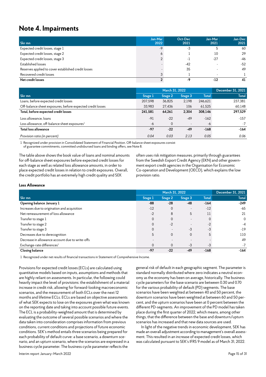### **Note 4. Impairments**

| Skr mn                                              | Jan-Mar<br>2022 | Oct-Dec<br>2021 | Jan-Mar<br>2021 | Jan-Dec<br>2021 |
|-----------------------------------------------------|-----------------|-----------------|-----------------|-----------------|
| Expected credit losses, stage 1                     | $-9$            | -3              |                 | 60              |
| Expected credit losses, stage 2                     |                 |                 | 10              | 29              |
| Expected credit losses, stage 3                     |                 | - 1             | $-27$           | -46             |
| Established losses                                  |                 | $-42$           |                 | $-52$           |
| Reserves applied to cover established credit losses |                 | 35              |                 | 49              |
| Recovered credit losses                             |                 |                 |                 |                 |
| Net credit losses                                   |                 | -9              | $-12$           | 41              |

|                                                            | March 31, 2022 |         |                          |              | December 31, 2021 |
|------------------------------------------------------------|----------------|---------|--------------------------|--------------|-------------------|
| Skr mn                                                     | Stage 1        | Stage 2 | Stage 3                  | <b>Total</b> | <b>Total</b>      |
| Loans, before expected credit losses                       | 207,598        | 36,825  | 2,198                    | 246,621      | 237,381           |
| Off-balance sheet exposures, before expected credit losses | 33.983         | 27,436  | 106                      | 61,525       | 60,148            |
| Total, before expected credit losses                       | 241,581        | 64,261  | 2.304                    | 308,146      | 297,529           |
| Loss allowance, loans                                      | $-91$          | $-22$   | $-49$                    | $-162$       | $-157$            |
| Loss allowance, off-balance sheet exposures $^1$           | -6             | 0       | $\overline{\phantom{a}}$ | $-6$         | $-7$              |
| Total loss allowance                                       | -97            | $-22$   | $-49$                    | $-168$       | $-164$            |
| Provision ratio (in percent)                               | 0.04           | 0.03    | 2.13                     | 0.05         | 0.06              |

1 Recognized under provision in Consolidated Statement of Financial Position. Off-balance sheet exposures consist of guarantee commitments, committed undisbursed loans and binding offers, see Note 8.

The table above shows the book value of loans and nominal amounts for off-balance sheet exposures before expected credit losses for each stage as well as related loss allowance amounts, in order to place expected credit losses in relation to credit exposures. Overall, the credit portfolio has an extremely high credit quality and SEK

often uses risk mitigation measures, primarily through guarantees from the Swedish Export Credit Agency (EKN) and other government export credit agencies in the Organisation for Economic Co-operation and Development (OECD), which explains the low provision ratio.

#### **Loss Allowance**

|                                                 | March 31, 2022 |          |                          |        | December 31, 2021 |
|-------------------------------------------------|----------------|----------|--------------------------|--------|-------------------|
| Skr mn                                          | Stage 1        | Stage 2  | Stage 3                  | Total  | Total             |
| Opening balance January 1                       | $-88$          | $-28$    | $-48$                    | $-164$ | $-249$            |
| Increases due to origination and acquisition    | $-12$          | 0        | $\overline{\phantom{a}}$ | $-12$  | $-65$             |
| Net remeasurement of loss allowance             | $-2$           | 8        | 5                        | 11     | 21                |
| Transfer to stage 1                             | 0              | $\Omega$ | $\overline{\phantom{a}}$ | 0      | $\mathbf 0$       |
| Transfer to stage 2                             | 0              | $-2$     | $\overline{\phantom{a}}$ | $-2$   | $-4$              |
| Transfer to stage 3                             | 0              |          | -3                       | -3     | $-19$             |
| Decreases due to derecognition                  | 5              | 0        | 0                        | 5      | 110               |
| Decrease in allowance account due to write-offs |                |          | $\overline{\phantom{0}}$ |        | 49                |
| Exchange-rate differences <sup>1</sup>          | $\Omega$       | $\Omega$ | -3                       | -3     | -7                |
| <b>Closing balance</b>                          | $-97$          | $-22$    | $-49$                    | $-168$ | $-164$            |

1 Recognized under net results of financial transactions in Statement of Comprehensive Income.

Provisions for expected credit losses (ECLs) are calculated using quantitative models based on inputs, assumptions and methods that are highly reliant on assessments. In particular, the following could heavily impact the level of provisions: the establishment of a material increase in credit risk, allowing for forward-looking macroeconomic scenarios, and the measurement of both ECLs over the next 12 months and lifetime ECLs. ECLs are based on objective assessments of what SEK expects to lose on the exposures given what was known on the reporting date and taking into account possible future events. The ECL is a probability-weighted amount that is determined by evaluating the outcome of several possible scenarios and where the data taken into consideration comprises information from previous conditions, current conditions and projections of future economic conditions. SEK's method entails three scenarios being prepared for each probability of default curve: a base scenario, a downturn scenario, and an upturn scenario, where the scenarios are expressed in a business cycle parameter. The business cycle parameter reflects the

general risk of default in each geographic segment. The parameter is standard normally distributed where zero indicates a neutral economy as the economy has been on average, historically. The business cycle parameters for the base scenario are between 0.30 and 0.70 for the various probability of default (PD) segments. The base scenarios have been weighted at between 40 and 50 percent, the downturn scenarios have been weighted at between 60 and 50 percent, and the upturn scenarios have been at 0 percent between the different PD-segments. An improvement of the PD model has taken place during the first quarter of 2022, which means, among other things, that the difference between the base and downturn/upturn scenarios has increased and that new data sources are used.

In light of the negative trends in economic development, SEK has made an overall adjustment according to management's overall assessment. This resulted in an increase of expected credit losses, which was calculated pursuant to SEK's IFRS 9 model as of March 31, 2022.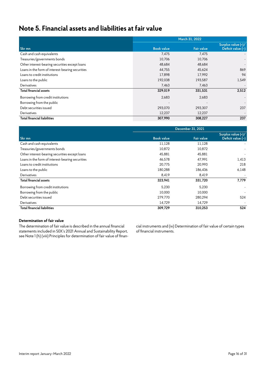### **Note 5. Financial assets and liabilities at fair value**

|                                                  |                   | March 31, 2022    |                                           |
|--------------------------------------------------|-------------------|-------------------|-------------------------------------------|
| Skr mn                                           | <b>Book value</b> | <b>Fair value</b> | Surplus value (+)/<br>Deficit value $(-)$ |
| Cash and cash equivalents                        | 7,475             | 7,475             |                                           |
| Treasuries/governments bonds                     | 10,706            | 10,706            |                                           |
| Other interest-bearing securities except loans   | 48,684            | 48,684            |                                           |
| Loans in the form of interest-bearing securities | 44.755            | 45,624            | 869                                       |
| Loans to credit institutions                     | 17,898            | 17,992            | 94                                        |
| Loans to the public                              | 192,038           | 193,587           | 1,549                                     |
| Derivatives                                      | 7,463             | 7,463             |                                           |
| <b>Total financial assets</b>                    | 329,019           | 331,531           | 2,512                                     |
| Borrowing from credit institutions               | 2,683             | 2,683             |                                           |
| Borrowing from the public                        |                   |                   |                                           |
| Debt securities issued                           | 293,070           | 293,307           | 237                                       |
| Derivatives                                      | 12,237            | 12,237            |                                           |
| <b>Total financial liabilities</b>               | 307,990           | 308,227           | 237                                       |

|                                                  | December 31, 2021 |                   |                                         |  |  |  |  |
|--------------------------------------------------|-------------------|-------------------|-----------------------------------------|--|--|--|--|
| Skr mn                                           | <b>Book value</b> | <b>Fair value</b> | Surplus value (+)/<br>Deficit value (-) |  |  |  |  |
| Cash and cash equivalents                        | 11,128            | 11,128            |                                         |  |  |  |  |
| Treasuries/governments bonds                     | 10,872            | 10,872            |                                         |  |  |  |  |
| Other interest-bearing securities except loans   | 45,881            | 45,881            |                                         |  |  |  |  |
| Loans in the form of interest-bearing securities | 46.578            | 47,991            | 1,413                                   |  |  |  |  |
| Loans to credit institutions                     | 20,775            | 20,993            | 218                                     |  |  |  |  |
| Loans to the public                              | 180.288           | 186,436           | 6,148                                   |  |  |  |  |
| Derivatives                                      | 8,419             | 8,419             |                                         |  |  |  |  |
| Total financial assets                           | 323,941           | 331,720           | 7,779                                   |  |  |  |  |
| Borrowing from credit institutions               | 5,230             | 5,230             |                                         |  |  |  |  |
| Borrowing from the public                        | 10.000            | 10,000            |                                         |  |  |  |  |
| Debt securities issued                           | 279.770           | 280.294           | 524                                     |  |  |  |  |
| Derivatives                                      | 14,729            | 14,729            |                                         |  |  |  |  |
| <b>Total financial liabilities</b>               | 309,729           | 310,253           | 524                                     |  |  |  |  |

#### **Determination of fair value**

The determination of fair value is described in the annual financial statements included in SEK's 2021 Annual and Sustainability Report, see Note 1 (h) (viii) Principles for determination of fair value of financial instruments and (ix) Determination of fair value of certain types of financial instruments.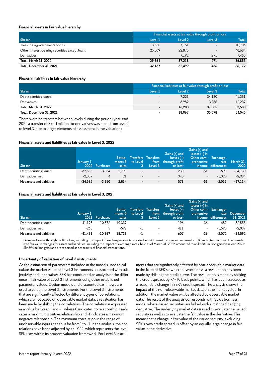#### **Financial assets in fair value hierarchy**

|                                                | Financial assets at fair value through profit or loss |         |         |              |  |  |
|------------------------------------------------|-------------------------------------------------------|---------|---------|--------------|--|--|
| Skr mn                                         | Level 1                                               | Level 2 | Level 3 | <b>Total</b> |  |  |
| Treasuries/governments bonds                   | 3.555                                                 | 7,151   |         | 10,706       |  |  |
| Other interest-bearing securities except loans | 25.809                                                | 22.875  |         | 48,684       |  |  |
| Derivatives                                    | $\overline{\phantom{a}}$                              | 7.192   | 271     | 7.463        |  |  |
| Total, March 31, 2022                          | 29.364                                                | 37.218  | 271     | 66.853       |  |  |
| Total, December 31, 2021                       | 32.187                                                | 32.499  | 486     | 65.172       |  |  |

#### **Financial liabilities in fair value hierarchy**

|                          | Financial liabilities at fair value through profit or loss |         |         |              |  |
|--------------------------|------------------------------------------------------------|---------|---------|--------------|--|
| Skr mn                   | Level 1                                                    | Level 2 | Level 3 | <b>Total</b> |  |
| Debt securities issued   | $\overline{\phantom{a}}$                                   | 7.221   | 34.130  | 41,351       |  |
| Derivatives              | $\overline{\phantom{a}}$                                   | 8.982   | 3.255   | 12.237       |  |
| Total, March 31, 2022    | $\overline{\phantom{0}}$                                   | 16.203  | 37.385  | 53.588       |  |
| Total, December 31, 2021 | $\overline{\phantom{0}}$                                   | 18.967  | 35,078  | 54.045       |  |

There were no transfers between levels during the period (year-end 2021: a transfer of Skr -1 million for derivatives was made from level 2 to level 3, due to larger elements of assessment in the valuation).

#### **Financial assets and liabilities at fair value in Level 3, 2022**

| Skr mn                     | January 1, | 2022 Purchases | sales | Settle- Transfers Transfers<br>$\mathsf{ments}\,\mathfrak{b}\quad\mathsf{to}\,\mathsf{Level}$<br>гз. | Level 3                  | Gains $(+)$ and<br>$losses(-)$<br>from through profit<br>or $loss1$ | Gains (+) and<br>$losses (-)$ in<br>Other com- Exchange-<br><b>prehensive</b> | income differences | rate March 31.<br>2022 |
|----------------------------|------------|----------------|-------|------------------------------------------------------------------------------------------------------|--------------------------|---------------------------------------------------------------------|-------------------------------------------------------------------------------|--------------------|------------------------|
| Debt securities issued     | $-32,555$  | $-3.854$       | 2.793 | $\overline{\phantom{a}}$                                                                             | $\overline{\phantom{a}}$ | 230                                                                 | -51                                                                           | -693               | $-34,130$              |
| Derivatives, net           | $-2.037$   | 4              | 21    | $\overline{\phantom{a}}$                                                                             |                          | 348                                                                 | $\overline{\phantom{a}}$                                                      | $-1.320$           | $-2,984$               |
| Net assets and liabilities | $-34.592$  | $-3.850$       | 2.814 | $\overline{\phantom{a}}$                                                                             |                          | 578                                                                 | -51                                                                           | $-2.013$           | $-37.114$              |

#### **Financial assets and liabilities at fair value in Level 3, 2021**

| Skr mn                     | January 1, | 2021 Purchases | sales  | Settle- Transfers Transfers<br>$\blacksquare$ ments $\mathbf{\delta} = \mathbf{t}$ o Level $\blacksquare$<br>137 | Level 3 | Gains $(+)$ and<br>$losses(-)$<br>from through profit<br>$\text{or}$ loss <sup>1</sup> | Gains $(+)$ and<br>$losses (-) in$<br>Other com-<br>prehensive | Exchange-<br>income differences | rate December<br>31, 2021 |
|----------------------------|------------|----------------|--------|------------------------------------------------------------------------------------------------------------------|---------|----------------------------------------------------------------------------------------|----------------------------------------------------------------|---------------------------------|---------------------------|
| Debt securities issued     | -41.198    | $-10.372$      | 19.337 | $\sim$                                                                                                           |         | 196                                                                                    | -36                                                            | $-482$                          | $-32.555$                 |
| Derivatives, net           | $-263$     |                | -599   |                                                                                                                  |         | 411                                                                                    | $\overline{\phantom{a}}$                                       | $-1.590$                        | $-2,037$                  |
| Net assets and liabilities | $-41.461$  | $-10.367$      | 18.738 | -1                                                                                                               |         | 607                                                                                    | -36                                                            | $-2.072$                        | $-34.592$                 |

1 Gains and losses through profit or loss, including the impact of exchange-rates, is reported as net interest income and net results of financial transactions. The unrealized fair value changes for assets and liabilities, including the impact of exchange-rates, held as of March 31, 2022, amounted to a Skr 581 million gain (year-end 2021: Skr 594 million gain) and are reported as net results of financial transactions.

#### **Uncertainty of valuation of Level 3 instruments**

As the estimation of parameters included in the models used to calculate the market value of Level 3 instruments is associated with subjectivity and uncertainty, SEK has conducted an analysis of the difference in fair value of Level 3 instruments using other established parameter values. Option models and discounted cash flows are used to value the Level 3 instruments. For the Level 3 instruments that are significantly affected by different types of correlations, which are not based on observable market data, a revaluation has been made by shifting the correlations. The correlation is expressed as a value between 1 and –1, where 0 indicates no relationship, 1 indicates a maximum positive relationship and -1 indicates a maximum negative relationship. The maximum correlation in the range of unobservable inputs can thus be from 1 to –1. In the analysis, the correlations have been adjusted by +/– 0.12, which represents the level SEK uses within its prudent valuation framework. For Level 3 instru-

ments that are significantly affected by non-observable market data in the form of SEK's own creditworthiness, a revaluation has been made by shifting the credit curve. The revaluation is made by shifting the credit spreads by +/– 10 basis points, which has been assessed as a reasonable change in SEK's credit spread. The analysis shows the impact of the non-observable market data on the market value. In addition, the market value will be affected by observable market data. The result of the analysis corresponds with SEK's business model where issued securities are linked with a matched hedging derivative. The underlying market data is used to evaluate the issued security as well as to evaluate the fair value in the derivative. This means that a change in fair value of the issued security, excluding SEK's own credit spread, is offset by an equally large change in fair value in the derivative.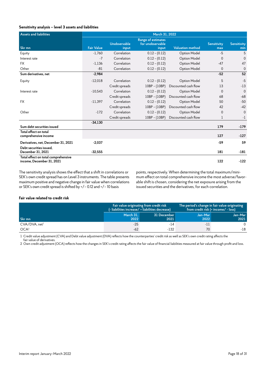#### **Sensitivity analysis – level 3 assets and liabilities**

| <b>Assets and liabilities</b>                                    | March 31, 2022    |                       |                                                        |                         |                           |                           |  |  |  |  |
|------------------------------------------------------------------|-------------------|-----------------------|--------------------------------------------------------|-------------------------|---------------------------|---------------------------|--|--|--|--|
| Skr mn                                                           | <b>Fair Value</b> | Unobservable<br>input | <b>Range of estimates</b><br>for unobservable<br>input | <b>Valuation method</b> | <b>Sensitivity</b><br>max | <b>Sensitivity</b><br>min |  |  |  |  |
| Equity                                                           | $-1.760$          | Correlation           | $0.12 - (0.12)$                                        | <b>Option Model</b>     | -5                        | 5                         |  |  |  |  |
| Interest rate                                                    | $-7$              | Correlation           | $0.12 - (0.12)$                                        | <b>Option Model</b>     | $\Omega$                  | $\Omega$                  |  |  |  |  |
| <b>FX</b>                                                        | $-1.136$          | Correlation           | $0.12 - (0.12)$                                        | <b>Option Model</b>     | $-47$                     | 47                        |  |  |  |  |
| Other                                                            | $-81$             | Correlation           | $0.12 - (0.12)$                                        | <b>Option Model</b>     | $\Omega$                  | $\Omega$                  |  |  |  |  |
| Sum derivatives, net                                             | $-2,984$          |                       |                                                        |                         | $-52$                     | 52                        |  |  |  |  |
| Equity                                                           | $-12,018$         | Correlation           | $0.12 - (0.12)$                                        | <b>Option Model</b>     | 5                         | $-5$                      |  |  |  |  |
|                                                                  |                   | Credit spreads        | $10BP - (10BP)$                                        | Discounted cash flow    | 13                        | $-13$                     |  |  |  |  |
| Interest rate                                                    | $-10,543$         | Correlation           | $0.12 - (0.12)$                                        | <b>Option Model</b>     | $\Omega$                  | $\mathbf 0$               |  |  |  |  |
|                                                                  |                   | Credit spreads        | $10BP - (10BP)$                                        | Discounted cash flow    | 68                        | $-68$                     |  |  |  |  |
| <b>FX</b>                                                        | $-11,397$         | Correlation           | $0.12 - (0.12)$                                        | Option Model            | 50                        | $-50$                     |  |  |  |  |
|                                                                  |                   | Credit spreads        | 10BP - (10BP)                                          | Discounted cash flow    | 42                        | $-42$                     |  |  |  |  |
| Other                                                            | $-172$            | Correlation           | $0.12 - (0.12)$                                        | <b>Option Model</b>     | $\Omega$                  | $\Omega$                  |  |  |  |  |
|                                                                  |                   | Credit spreads        | 10BP - (10BP)                                          | Discounted cash flow    | 1                         | $-1$                      |  |  |  |  |
| Sum debt securities issued                                       | $-34,130$         |                       |                                                        |                         | 179                       | $-179$                    |  |  |  |  |
| Total effect on total<br>comprehensive income                    |                   |                       |                                                        |                         | 127                       | $-127$                    |  |  |  |  |
| Derivatives, net, December 31, 2021                              | $-2.037$          |                       |                                                        |                         | $-59$                     | 59                        |  |  |  |  |
| Debt securities issued.<br>December 31, 2021                     | $-32,555$         |                       |                                                        |                         | 181                       | $-181$                    |  |  |  |  |
| Total effect on total comprehensive<br>income, December 31, 2021 |                   |                       |                                                        |                         | 122                       | $-122$                    |  |  |  |  |

The sensitivity analysis shows the effect that a shift in correlations or SEK's own credit spread has on Level 3 instruments. The table presents maximum positive and negative change in fair value when correlations or SEK's own credit spread is shifted by +/– 0.12 and +/– 10 basis

points, respectively. When determining the total maximum/minimum effect on total comprehensive income the most adverse/favorable shift is chosen, considering the net exposure arising from the issued securities and the derivatives, for each correlation.

#### **Fair value related to credit risk**

|                             |                   | Fair value originating from credit risk<br>(- liabilities increase/ + liabilities decrease) | The period's change in fair value originating<br>from credit risk (+ income/ - loss) |                 |  |
|-----------------------------|-------------------|---------------------------------------------------------------------------------------------|--------------------------------------------------------------------------------------|-----------------|--|
| Skr mn                      | March 31.<br>2022 | 31 December<br>2021                                                                         | Jan-Mar<br>2022                                                                      | Jan-Mar<br>2021 |  |
| $CVA/DVA.$ net <sup>1</sup> | $-25$             | -14                                                                                         | $-11$                                                                                |                 |  |
| OCA <sup>2</sup>            | $-62$             | -132                                                                                        | 70                                                                                   | $-18$           |  |

1 Credit value adjustment (CVA) and Debt value adjustment (DVA) reflects how the counterparties' credit risk as well as SEK's own credit rating affects the

fair value of derivatives.

2 Own credit adjustment (OCA) reflects how the changes in SEK's credit rating affects the fair value of financial liabilities measured at fair value through profit and loss.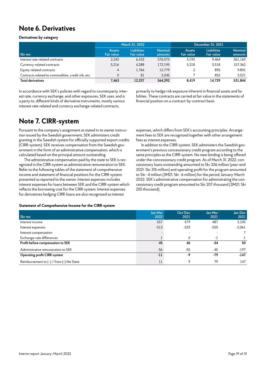### **Note 6. Derivatives**

#### **Derivatives by category**

|                                                     | March 31, 2022                     |                                         |                           | December 31, 2021                  |                                         |                           |
|-----------------------------------------------------|------------------------------------|-----------------------------------------|---------------------------|------------------------------------|-----------------------------------------|---------------------------|
| Skr mn                                              | <b>Assets</b><br><b>Fair value</b> | <b>Liabilities</b><br><b>Fair value</b> | <b>Nominal</b><br>amounts | <b>Assets</b><br><b>Fair value</b> | <b>Liabilities</b><br><b>Fair value</b> | <b>Nominal</b><br>amounts |
| Interest rate-related contracts                     | 2.243                              | 6.102                                   | 376.073                   | 3.192                              | 9.464                                   | 361.160                   |
| Currency-related contracts                          | 5.216                              | 4.288                                   | 172.195                   | 5.218                              | 3.518                                   | 157.362                   |
| Equity-related contracts                            | 4                                  | 1.766                                   | 12.779                    |                                    | 895                                     | 9.801                     |
| Contracts related to commodities, credit risk, etc. | 0                                  | 81                                      | 3.245                     |                                    | 852                                     | 3.521                     |
| <b>Total derivatives</b>                            | 7.463                              | 12.237                                  | 564.292                   | 8.419                              | 14.729                                  | 531.844                   |

In accordance with SEK's policies with regard to counterparty, interest rate, currency exchange, and other exposures, SEK uses, and is a party to, different kinds of derivative instruments, mostly various interest rate-related and currency exchange-related contracts,

primarily to hedge risk exposure inherent in financial assets and liabilities. These contracts are carried at fair value in the statements of financial position on a contract-by-contract basis.

### **Note 7. CIRR-system**

Pursuant to the company's assignment as stated in its owner instruction issued by the Swedish government, SEK administers credit granting in the Swedish system for officially supported export credits (CIRR-system). SEK receives compensation from the Swedish government in the form of an administrative compensation, which is calculated based on the principal amount outstanding.

The administrative compensation paid by the state to SEK is recognized in the CIRR-system as administrative remuneration to SEK. Refer to the following tables of the statement of comprehensive income and statement of financial positions for the CIRR-system, presented as reported to the owner. Interest expenses includes interest expenses for loans between SEK and the CIRR-system which reflects the borrowing cost for the CIRR-system. Interest expenses for derivatives hedging CIRR-loans are also recognized as interest

expenses, which differs from SEK's accounting principles. Arrangement fees to SEK are recognized together with other arrangement fees as interest expenses.

In addition to the CIRR-system, SEK administers the Swedish government's previous concessionary credit program according to the same principles as the CIRR-system. No new lending is being offered under the concessionary credit program. As of March 31, 2022, concessionary loans outstanding amounted to Skr 326 million (year-end 2021: Skr 315 million) and operating profit for the program amounted to Skr -4 million (3M21: Skr -6 million) for the period January-March 2022. SEK's administrative compensation for administrating the concessionary credit program amounted to Skr 207 thousand (3M21: Skr 255 thousand).

#### **Statement of Comprehensive Income for the CIRR-system**

| Skr mn                                        | Jan-Mar<br>2022 | Oct-Dec<br>2021 | Jan-Mar<br>2021 | Jan-Dec<br>2021 |
|-----------------------------------------------|-----------------|-----------------|-----------------|-----------------|
| Interest income                               | 557             | 579             | 487             | 2,105           |
| Interest expenses                             | $-513$          | $-533$          | $-520$          | $-2,061$        |
| Interest compensation                         |                 |                 |                 |                 |
| Exchange-rate differences                     |                 | $\Omega$        | - 1             | $-1$            |
| Profit before compensation to SEK             | 45              | 46              | $-34$           | 50              |
| Administrative remuneration to SEK            | $-56$           | $-55$           | $-45$           | $-197$          |
| <b>Operating profit CIRR-system</b>           | $-11$           | -9              | $-79$           | $-147$          |
| Reimbursement to $(-)$ / from $(+)$ the State | 11              | 9               | 79              | 147             |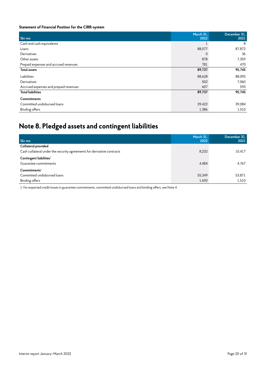#### **Statement of Financial Position for the CIRR-system**

| Skr mn                                | March 31,<br>2022 | December 31,<br>2021 |
|---------------------------------------|-------------------|----------------------|
| Cash and cash equivalents             |                   | 8                    |
| Loans                                 | 88,077            | 87,872               |
| Derivatives                           | 0                 | 36                   |
| Other assets                          | 878               | 7,359                |
| Prepaid expenses and accrued revenues | 781               | 470                  |
| <b>Total assets</b>                   | 89,737            | 95,745               |
| Liabilities                           | 88,628            | 88,092               |
| Derivatives                           | 502               | 7,060                |
| Accrued expenses and prepaid revenues | 607               | 593                  |
| <b>Total liabilities</b>              | 89,737            | 95,745               |
| <b>Commitments</b>                    |                   |                      |
| Committed undisbursed loans           | 39,422            | 39,084               |
| <b>Binding offers</b>                 | 1,386             | 1,510                |

### **Note 8. Pledged assets and contingent liabilities**

| Skr mn                                                                 | March 31.<br>2022 | December 31,<br>2021 |
|------------------------------------------------------------------------|-------------------|----------------------|
| Collateral provided                                                    |                   |                      |
| Cash collateral under the security agreements for derivative contracts | 8,232             | 10,417               |
| Contingent liabilities $^1$                                            |                   |                      |
| Guarantee commitments                                                  | 4,484             | 4,767                |
| Commitments <sup>1</sup>                                               |                   |                      |
| Committed undisbursed loans                                            | 55,349            | 53,871               |
| <b>Binding offers</b>                                                  | 1,692             | 1,510                |

1 For expected credit losses in guarantee commitments, committed undisbursed loans and binding offers, see Note 4.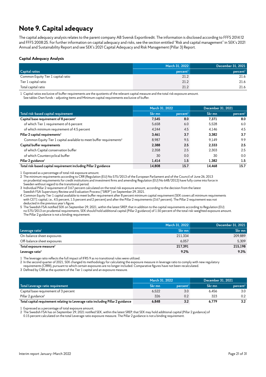### **Note 9. Capital adequacy**

The capital adequacy analysis relates to the parent company AB Svensk Exportkredit. The information is disclosed according to FFFS 2014:12 and FFFS 2008:25. For further information on capital adequacy and risks, see the section entitled "Risk and capital management" in SEK's 2021 Annual and Sustainability Report and see SEK's 2021 Capital Adequacy and Risk Management (Pillar 3) Report.

#### **Capital Adequacy Analysis**

|                                    | March 31, 2022       | December 31, 2021    |
|------------------------------------|----------------------|----------------------|
| <b>Capital ratios</b>              | percent <sup>1</sup> | percent <sup>1</sup> |
| Common Equity Tier 1 capital ratio | 21.2                 | 21.6                 |
| Tier 1 capital ratio               | 21.2                 | 21.6                 |
| Total capital ratio                | 21.2                 | 21.6                 |

1 Capital ratios exclusive of buffer requirements are the quotients of the relevant capital measure and the total risk exposure amount.

See tables Own funds – adjusting items and Minimum capital requirements exclusive of buffer.

|                                                                                 | March 31, 2022 |                      | December 31, 2021 |                      |
|---------------------------------------------------------------------------------|----------------|----------------------|-------------------|----------------------|
| Total risk-based capital requirement                                            | Skr mn         | percent <sup>1</sup> | Skr mn            | percent <sup>1</sup> |
| Capital base requirement of 8 percent <sup>2</sup>                              | 7,545          | 8.0                  | 7,371             | 8.0                  |
| of which Tier 1 requirement of 6 percent                                        | 5,658          | 6.0                  | 5,528             | 6.0                  |
| of which minimum requirement of 4.5 percent                                     | 4.244          | 4.5                  | 4.146             | 4.5                  |
| Pillar 2 capital requirements <sup>3</sup>                                      | 3,461          | 3.7                  | 3.382             | 3.7                  |
| Common Equity Tier 1 capital available to meet buffer requirements <sup>4</sup> | 8.987          | 9.5                  | 9.149             | 9.9                  |
| Capital buffer requirements                                                     | 2,388          | 2.5                  | 2.333             | 2.5                  |
| of which Capital conservation buffer                                            | 2.358          | 2.5                  | 2.303             | 2.5                  |
| of which Countercyclical buffer                                                 | 30             | 0.0                  | 30                | 0.0                  |
| Pillar 2 guidance <sup>5</sup>                                                  | 1,414          | 1.5                  | 1.382             | 1.5                  |
| Total risk-based capital requirement including Pillar 2 guidance                | 14.808         | 15.7                 | 14.468            | 15.7                 |

1 Expressed as a percentage of total risk exposure amount.

2 The minimum requirements according to CRR (Regulation (EU) No 575/2013 of the European Parliament and of the Council of June 26, 2013

on prudential requirements for credit institutions and investment firms and amending Regulation (EU) No 648/2012) have fully come into force in Sweden without regard to the transitional period.

3 Individual Pillar 2 requirement of 3.67 percent calculated on the total risk exposure amount, according to the decision from the latest

Swedish FSA Supervisory Review and Evaluation Process ("SREP") on September 29, 2021. 4 Common Equity Tier 1 capital available to meet buffer requirement after 8 percent minimum capital requirement (SEK covers all minimum requirements with CET1 capital, i.e., 4.5 percent, 1.5 percent and 2 percent) and after the Pillar 2 requirements (3.67 percent). The Pillar 2 requirement was not deducted in the previous year's figure.

5 The Swedish FSA notified SEK on September 29, 2021, within the latest SREP, that in addition to the capital requirements according to Regulation (EU) no 575/2013 on prudential requirements, SEK should hold additional capital (Pillar 2 guidance) of 1.50 percent of the total risk-weighted exposure amount. The Pillar 2 guidance is not a binding requirement.

|                                     | March 31, 2022 | December 31, 2021 |
|-------------------------------------|----------------|-------------------|
| Leverage ratio <sup>1</sup>         | Skr mn         | Skr mn            |
| On-balance sheet exposures          | 211,334        | 209,889           |
| Off-balance sheet exposures         | 6.057          | 5.309             |
| Total exposure measure <sup>2</sup> | 217,391        | 215,198           |
| Leverage ratio <sup>3</sup>         | 9.2%           | 9.3%              |

1 The leverage ratio reflects the full impact of IFRS 9 as no transitional rules were utilized.

2 In the second quarter of 2021, SEK changed its methodology for calculating the exposure measure in leverage ratio to comply with new regulatory

requirements (CRRII), pursuant to which certain exposures are no longer included. Comparative figures have not been recalculated.

3 Defined by CRR as the quotient of the Tier 1 capital and an exposure measure.

|                                                                                  | March 31, 2022 |                      | <b>December 31, 2021</b> |                      |
|----------------------------------------------------------------------------------|----------------|----------------------|--------------------------|----------------------|
| Total Leverage ratio requirement                                                 | Skr mn         | percent <sup>1</sup> | Skr mn                   | percent <sup>1</sup> |
| Capital base requirement of 3 percent                                            | 6.522          | 3.0                  | 6.456                    | 3.0                  |
| Pillar 2 guidance <sup>2</sup>                                                   | 326            | 0.2                  | 323                      | 0.2                  |
| Total capital requirement relating to Leverage ratio including Pillar 2 guidance | 6.848          | 3.2                  | 6.779                    | 3.2                  |

1 Expressed as a percentage of total exposure amount.

2 The Swedish FSA has on September 29, 2021 notified SEK, within the latest SREP, that SEK may hold additional capital (Pillar 2 guidance) of

0.15 percent calculated on the total Leverage ratio exposure measure. The Pillar 2 guidance is not a binding requirement.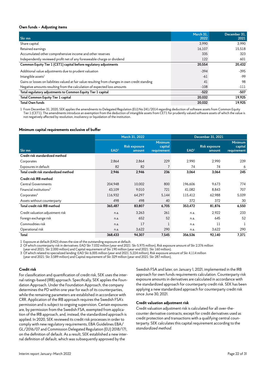#### **Own funds – Adjusting items**

| Skr mn                                                                                            | March 31.<br>2022 | December 31.<br>2021 |
|---------------------------------------------------------------------------------------------------|-------------------|----------------------|
| Share capital                                                                                     | 3,990             | 3.990                |
| Retained earnings                                                                                 | 16,107            | 15,518               |
| Accumulated other comprehensive income and other reserves                                         | 335               | 323                  |
| Independently reviewed profit net of any foreseeable charge or dividend                           | 122               | 601                  |
| Common Equity Tier 1 (CET1) capital before regulatory adjustments                                 | 20,554            | 20,432               |
| Additional value adjustments due to prudent valuation                                             | $-394$            | $-395$               |
| Intangible assets <sup>1</sup>                                                                    | -61               | $-99$                |
| Gains or losses on liabilities valued at fair value resulting from changes in own credit standing | 41                | 98                   |
| Negative amounts resulting from the calculation of expected loss amounts                          | $-108$            | $-111$               |
| Total regulatory adjustments to Common Equity Tier 1 capital                                      | $-522$            | $-507$               |
| Total Common Equity Tier 1 capital                                                                | 20,032            | 19,925               |
| <b>Total Own funds</b>                                                                            | 20,032            | 19.925               |

1 From December 31, 2020, SEK applies the amendments to Delegated Regulation (EU) No 241/2014 regarding deduction of software assets from Common Equity Tier 1 (CET1). The amendments introduce an exemption from the deduction of intangible assets from CET1 for prudently valued software assets of which the value is not negatively affected by resolution, insolvency or liquidation of the institution.

#### **Minimum capital requirements exclusive of buffer**

|                                       |                  | March 31, 2022                 |                                          |                  | December 31, 2021              |                                          |  |
|---------------------------------------|------------------|--------------------------------|------------------------------------------|------------------|--------------------------------|------------------------------------------|--|
| Skr mn                                | EAD <sup>1</sup> | <b>Risk exposure</b><br>amount | <b>Minimum</b><br>capital<br>requirement | EAD <sup>1</sup> | <b>Risk exposure</b><br>amount | <b>Minimum</b><br>capital<br>requirement |  |
| Credit risk standardized method       |                  |                                |                                          |                  |                                |                                          |  |
| Corporates                            | 2,864            | 2,864                          | 229                                      | 2,990            | 2,990                          | 239                                      |  |
| Exposures in default                  | 82               | 82                             | $\overline{7}$                           | 74               | 74                             | 6                                        |  |
| Total credit risk standardized method | 2,946            | 2,946                          | 236                                      | 3,064            | 3,064                          | 245                                      |  |
| Credit risk IRB method                |                  |                                |                                          |                  |                                |                                          |  |
| <b>Central Governments</b>            | 204,948          | 10,002                         | 800                                      | 196,606          | 9,673                          | 774                                      |  |
| Financial institutions <sup>2</sup>   | 43,109           | 9,010                          | 721                                      | 41,082           | 8,843                          | 707                                      |  |
| Corporates <sup>3</sup>               | 116,932          | 64,297                         | 5,144                                    | 115,412          | 62,988                         | 5,039                                    |  |
| Assets without counterparty           | 498              | 498                            | 40                                       | 372              | 372                            | 30                                       |  |
| Total credit risk IRB method          | 365,487          | 83,807                         | 6,705                                    | 353,472          | 81,876                         | 6,550                                    |  |
| Credit valuation adjustment risk      | n.a.             | 3,263                          | 261                                      | n.a.             | 2,922                          | 233                                      |  |
| Foreign exchange risk                 | n.a.             | 652                            | 52                                       | n.a.             | 645                            | 52                                       |  |
| Commodities risk                      | n.a.             | 17                             |                                          | n.a.             | 11                             |                                          |  |
| Operational risk                      | n.a.             | 3,622                          | 290                                      | n.a.             | 3,622                          | 290                                      |  |
| Total                                 | 368,433          | 94,307                         | 7,545                                    | 356,536          | 92,140                         | 7,371                                    |  |

1 Exposure at default (EAD) shows the size of the outstanding exposure at default.

2 Of which counterparty risk in derivatives: EAD Skr 7,032 million (year-end 2021: Skr 5,975 million), Risk exposure amount of Skr 2,376 million

(year-end 2021: Skr 2,000 million) and Capital requirement of Skr 190 million (year-end 2021: Skr 160 million).

3 Of which related to specialized lending: EAD Skr 6,005 million (year-end 2021: 5,224 million), Risk exposure amount of Skr 4,114 million

(year-end 2021: Skr 3,589 million) and Capital requirement of Skr 329 million (year-end 2021: Skr 287 million).

#### **Credit risk**

For classification and quantification of credit risk, SEK uses the internal ratings-based (IRB) approach. Specifically, SEK applies the Foundation Approach. Under the Foundation Approach, the company determines the PD within one year for each of its counterparties, while the remaining parameters are established in accordance with CRR. Application of the IRB approach requires the Swedish FSA's permission and is subject to ongoing supervision. Certain exposures are, by permission from the Swedish FSA, exempted from application of the IRB approach, and, instead, the standardized approach is applied. In 2020, SEK reviewed its credit risk processes in order to comply with new regulatory requirements, EBA Guidelines EBA/ GL/2016/07 and Commission Delegated Regulation (EU) 2018/171, on the definition of default. As a result, SEK established a new internal definition of default, which was subsequently approved by the

Swedish FSA and later, on January 1, 2021, implemented in the IRB approach for own funds requirements calculation. Counterparty risk exposure amounts in derivatives are calculated in accordance with the standardized approach for counterparty credit risk. SEK has been applying a new standardized approach for counterparty credit risk since June 30, 2021.

#### **Credit valuation adjustment risk**

Credit valuation adjustment risk is calculated for all over-thecounter derivative contracts, except for credit derivatives used as credit protection and transactions with a qualifying central counterparty. SEK calculates this capital requirement according to the *standardized method*.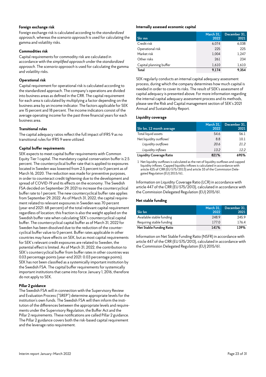#### **Foreign exchange risk**

Foreign exchange risk is calculated according to the *standardized approach*, whereas the *scenario approach* is used for calculating the gamma and volatility risks.

#### **Commodities risk**

Capital requirements for commodity risk are calculated in accordance with the *simplified approach* under the *standardized approach*. The *scenario approach* is used for calculating the gamma and volatility risks.

#### **Operational risk**

Capital requirement for operational risk is calculated according to the standardized approach. The company's operations are divided into business areas as defined in the CRR. The capital requirement for each area is calculated by multiplying a factor depending on the business area by an income indicator. The factors applicable for SEK are 15 percent and 18 percent. The income indicators consist of the average operating income for the past three financial years for each business area.

#### **Transitional rules**

The capital adequacy ratios reflect the full impact of IFRS 9 as no transitional rules for IFRS 9 were utilized.

#### **Capital buffer requirements**

SEK expects to meet capital buffer requirements with Common Equity Tier 1 capital. The mandatory capital conservation buffer is 2.5 percent. The countercyclical buffer rate that is applied to exposures located in Sweden was lowered from 2.5 percent to 0 percent as of March 16, 2020. The reduction was made for preventive purposes, in order to counteract credit tightening due to the development and spread of COVID-19 and its effects on the economy. The Swedish FSA decided on September 29, 2021 to increase the countercyclical buffer rate to 1 percent. The new countercyclical buffer rate applies from September 29, 2022. As of March 31, 2022, the capital requirement related to relevant exposures in Sweden was 70 percent (year-end 2021: 68 percent) of the total relevant capital requirement regardless of location; this fraction is also the weight applied on the Swedish buffer rate when calculating SEK's countercyclical capital buffer. The countercyclical capital buffer as of March 31, 2022 for Sweden has been dissolved due to the reduction of the countercyclical buffer value to 0 percent. Buffer rates applicable in other countries may have effects on SEK, but as most capital requirements for SEK's relevant credit exposures are related to Sweden, the potential effect is limited. As of March 31, 2022, the contribution to SEK's countercyclical buffer from buffer rates in other countries was 0.03 percentage points (year-end 2021: 0.03 percentage points). SEK has not been classified as a systemically important institution by the Swedish FSA. The capital buffer requirements for systemically important institutions that came into force January 1, 2016, therefore do not apply to SEK.

#### **Pillar 2 guidance**

The Swedish FSA will in connection with the Supervisory Review and Evaluation Process ("SREP") determine appropriate levels for the institution's own funds. The Swedish FSA will then inform the institution of the differences between the appropriate levels and requirements under the Supervisory Regulation, the Buffer Act and the Pillar 2 requirements. These notifications are called Pillar 2 guidance. The Pillar 2 guidance covers both the risk-based capital requirement and the leverage ratio requirement.

#### **Internally assessed economic capital**

| Skr mn                  | March 31,<br>2022 | December 31.<br>2021 |
|-------------------------|-------------------|----------------------|
| Credit risk             | 6,074             | 6,038                |
| Operational risk        | 225               | 225                  |
| Market risk             | 1.004             | 1,247                |
| Other risks             | 261               | 234                  |
| Capital planning buffer | 1,610             | 1,610                |
| Total                   | 9,174             | 9.354                |

SEK regularly conducts an internal capital adequacy assessment process, during which the company determines how much capital is needed in order to cover its risks. The result of SEK's assessment of capital adequacy is presented above. For more information regarding the internal capital adequacy assessment process and its methods, please see the Risk and Capital management section of SEK's 2021 Annual and Sustainability Report.

#### **Liquidity coverage**

| Skr bn, 12 month average            | March 31,<br>2022 | December 31,<br>2021 |
|-------------------------------------|-------------------|----------------------|
| Total liquid assets                 | 54.6              | 56.1                 |
| Net liquidity outflows <sup>1</sup> | 8.8               | 10.1                 |
| Liquidity outflows                  | 20.6              | 21.2                 |
| Liquidity inflows                   | 13.2              | 12.2                 |
| <b>Liquidity Coverage Ratio</b>     | 821%              | 695%                 |

1 Net liquidity outflows is calculated as the net of liquidity outflows and capped liquidity inflows. Capped liquidity inflows is calculated in accordance with article 425 of CRR (EU 575/2013) and article 33 of the Commission Delegated Regulation (EU) 2015/61.

Information on Liquidity Coverage Ratio (LCR) in accordance with article 447 of the CRR (EU 575/2013), calculated in accordance with the Commission Delegated Regulation (EU) 2015/61.

#### **Net stable funding**

| Skr bn                   | March 31.<br>2022 | December 31,<br>2021 |
|--------------------------|-------------------|----------------------|
| Available stable funding | 248.9             | 245.9                |
| Requiring stable funding | 177.0             | 176.4                |
| Net Stable Funding Ratio | 141%              | 139%                 |

Information on Net Stable Funding Ratio (NSFR) in accordance with article 447 of the CRR (EU 575/2013), calculated in accordance with the Commission Delegated Regulation (EU) 2015/61.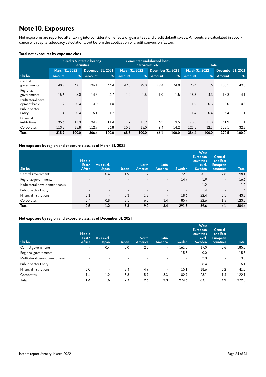### **Note 10. Exposures**

Net exposures are reported after taking into consideration effects of guarantees and credit default swaps. Amounts are calculated in accordance with capital adequacy calculations, but before the application of credit conversion factors.

#### **Total net exposures by exposure class**

|                                     | Credits & interest-bearing<br><b>securities</b> |       |                   |       | Committed undisbursed loans,<br>derivatives, etc. |       |                   | <b>Total</b>             |                |       |                   |               |
|-------------------------------------|-------------------------------------------------|-------|-------------------|-------|---------------------------------------------------|-------|-------------------|--------------------------|----------------|-------|-------------------|---------------|
|                                     | March 31, 2022                                  |       | December 31, 2021 |       | March 31, 2022                                    |       | December 31, 2021 |                          | March 31, 2022 |       | December 31, 2021 |               |
| Skr bn                              | <b>Amount</b>                                   | $\%$  | Amount            | %     | <b>Amount</b>                                     | $\%$  | Amount            | %                        | <b>Amount</b>  | $\%$  | Amount            | $\frac{9}{6}$ |
| Central<br>governments              | 148.9                                           | 47.1  | 136.1             | 44.4  | 49.5                                              | 72.3  | 49.4              | 74.8                     | 198.4          | 51.6  | 185.5             | 49.8          |
| Regional<br>governments             | 15.6                                            | 5.0   | 14.3              | 4.7   | 1.0                                               | 1.5   | 1.0               | 1.5                      | 16.6           | 4.3   | 15.3              | 4.1           |
| Multilateral devel-<br>opment banks | 1.2                                             | 0.4   | 3.0               | 1.0   |                                                   |       |                   |                          | 1.2            | 0.3   | 3.0               | 0.8           |
| <b>Public Sector</b><br>Entity      | 1.4                                             | 0.4   | 5.4               | 1.7   | $\overline{\phantom{a}}$                          |       |                   | $\overline{\phantom{a}}$ | 1.4            | 0.4   | 5.4               | 1.4           |
| Financial<br>institutions           | 35.6                                            | 11.3  | 34.9              | 11.4  | 7.7                                               | 11.2  | 6.3               | 9.5                      | 43.3           | 11.3  | 41.2              | 11.1          |
| Corporates                          | 113.2                                           | 35.8  | 112.7             | 36.8  | 10.3                                              | 15.0  | 9.4               | 14.2                     | 123.5          | 32.1  | 122.1             | 32.8          |
| Total                               | 315.9                                           | 100.0 | 306.4             | 100.0 | 68.5                                              | 100.0 | 66.1              | 100.0                    | 384.4          | 100.0 | 372.5             | 100.0         |

#### **Net exposure by region and exposure class, as of March 31, 2022**

| Skr bn                         | <b>Middle</b><br>East/<br>Africa | Asia excl.<br>Japan      | Japan | <b>North</b><br>America | Latin<br>America         | <b>Sweden</b>            | <b>West</b><br><b>European</b><br>countries<br>excl.<br>Sweden | Central-<br>and East<br>European<br>countries | <b>Total</b> |
|--------------------------------|----------------------------------|--------------------------|-------|-------------------------|--------------------------|--------------------------|----------------------------------------------------------------|-----------------------------------------------|--------------|
| Central governments            | $\sim$                           | 0.4                      | 1.9   | 1.2                     | $\sim$                   | 172.3                    | 20.1                                                           | 2.5                                           | 198.4        |
| Regional governments           | $\overline{\phantom{0}}$         | $\overline{\phantom{a}}$ |       |                         | $\overline{\phantom{a}}$ | 14.7                     | 1.9                                                            | $\sim$                                        | 16.6         |
| Multilateral development banks |                                  | $\overline{\phantom{0}}$ |       |                         |                          | $\overline{\phantom{a}}$ | 1.2                                                            | $\sim$                                        | 1.2          |
| <b>Public Sector Entity</b>    | $\overline{\phantom{a}}$         | $\overline{\phantom{0}}$ |       |                         |                          | $\sim$                   | 1.4                                                            | $\sim$                                        | 1.4          |
| Financial institutions         | 0.1                              | $\overline{\phantom{a}}$ | 0.3   | 1.8                     | $\overline{\phantom{a}}$ | 18.6                     | 22.4                                                           | 0.1                                           | 43.3         |
| Corporates                     | 0.4                              | 0.8                      | 3.1   | 6.0                     | 3.4                      | 85.7                     | 22.6                                                           | 1.5                                           | 123.5        |
| Total                          | 0.5                              | 1.2                      | 5.3   | 9.0                     | 3.4                      | 291.3                    | 69.6                                                           | 4.1                                           | 384.4        |

#### **Net exposure by region and exposure class, as of December 31, 2021**

| Skr bn                         | <b>Middle</b><br>East/<br>Africa | Asia excl.<br>Japan      | Japan | <b>North</b><br>America  | Latin<br>America         | Sweden | <b>West</b><br><b>European</b><br>countries<br>excl.<br><b>Sweden</b> | Central-<br>and East<br><b>European</b><br>countries | <b>Total</b> |
|--------------------------------|----------------------------------|--------------------------|-------|--------------------------|--------------------------|--------|-----------------------------------------------------------------------|------------------------------------------------------|--------------|
| Central governments            | $\overline{\phantom{a}}$         | 0.4                      | 2.0   | 2.0                      | $\overline{\phantom{a}}$ | 161.5  | 17.0                                                                  | 2.6                                                  | 185.5        |
| Regional governments           | $\overline{\phantom{0}}$         | $\overline{\phantom{a}}$ |       |                          | $\overline{\phantom{a}}$ | 15.3   | 0.0                                                                   | $\sim$                                               | 15.3         |
| Multilateral development banks |                                  | $\overline{\phantom{a}}$ |       |                          |                          |        | 3.0                                                                   | $\overline{\phantom{a}}$                             | 3.0          |
| <b>Public Sector Entity</b>    | $\overline{\phantom{0}}$         | $\overline{\phantom{a}}$ |       | $\overline{\phantom{a}}$ | $\overline{\phantom{0}}$ | ۰      | 5.4                                                                   | $\overline{\phantom{a}}$                             | 5.4          |
| Financial institutions         | 0.0                              | $\blacksquare$           | 2.4   | 4.9                      | $\overline{\phantom{a}}$ | 15.1   | 18.6                                                                  | 0.2                                                  | 41.2         |
| Corporates                     | 1.4                              | 1.2                      | 3.3   | 5.7                      | 3.3                      | 82.7   | 23.1                                                                  | 1.4                                                  | 122.1        |
| Total                          | 1.4                              | 1.6                      | 7.7   | 12.6                     | 3.3                      | 274.6  | 67.1                                                                  | 4.2                                                  | 372.5        |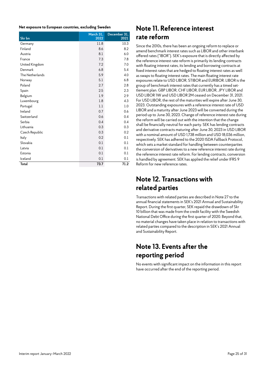#### **Net exposure to European countries, excluding Sweden**

| Skr bn          | March 31,<br>2022 | December 31,<br>2021 |
|-----------------|-------------------|----------------------|
| Germany         | 11.8              | 10.3                 |
| Finland         | 8.6               | 8.2                  |
| Austria         | 8.1               | 6.0                  |
| France          | 7.3               | 7.8                  |
| United Kingdom  | 7.2               | 7.0                  |
| Denmark         | 6.8               | 5.4                  |
| The Netherlands | 5.9               | 4.0                  |
| Norway          | 5.1               | 6.8                  |
| Poland          | 2.7               | 2.8                  |
| Spain           | 2.5               | 2.3                  |
| Belgium         | 1.9               | 2.9                  |
| Luxembourg      | 1.8               | 4.3                  |
| Portugal        | 1.1               | 1.0                  |
| Ireland         | 0.7               | 0.6                  |
| Switzerland     | 0.6               | 0.4                  |
| Serbia          | 0.4               | 0.4                  |
| Lithuania       | 0.3               | 0.3                  |
| Czech Republic  | 0.3               | 0.2                  |
| Italy           | 0.2               | 0.1                  |
| Slovakia        | 0.1               | 0.1                  |
| Latvia          | 0.1               | 0.1                  |
| Estonia         | 0.1               | 0.1                  |
| Iceland         | 0.1               | 0.1                  |
| Total           | 73.7              | 71.2                 |

### **Note 11. Reference interest rate reform**

Since the 2010s, there has been an ongoing reform to replace or amend benchmark interest rates such as LIBOR and other interbank offered rates ("IBOR"). SEK's exposure that is directly affected by the reference interest rate reform is primarily its lending contracts with floating interest rates, its lending and borrowing contracts at fixed interest rates that are hedged to floating interest rates as well as swaps to floating interest rates. The main floating interest rate exposures relate to USD LIBOR, STIBOR and EURIBOR. LIBOR is the group of benchmark interest rates that currently has a timed settlement plan. GBP LIBOR, CHF LIBOR, EUR LIBOR, JPY LIBOR and USD LIBOR 1W and USD LIBOR 2M ceased on December 31, 2021. For USD LIBOR, the rest of the maturities will expire after June 30, 2023. Outstanding exposures with a reference interest rate of USD LIBOR and a maturity after June 2023 will be converted during the period up to June 30, 2023. Change of reference interest rate during the reform will be carried out with the intention that the change shall be financially neutral for each party. SEK has lending contracts and derivative contracts maturing after June 30, 2023 in USD LIBOR with a nominal amount of USD 1,738 million and USD 18,036 million, respectively. SEK has adhered to the 2020 ISDA Fallback Protocol, which sets a market standard for handling between counterparties the conversion of derivatives to a new reference interest rate during the reference interest rate reform. For lending contracts, conversion is handled by agreement. SEK has applied the relief under IFRS 9 Reform for new reference rates.

### **Note 12. Transactions with related parties**

Transactions with related parties are described in Note 27 to the annual financial statements in SEK's 2021 Annual and Sustainability Report. During the first quarter, SEK repaid the drawdown of Skr 10 billion that was made from the credit facility with the Swedish National Debt Office during the first quarter of 2020. Beyond that, no material changes have taken place in relation to transactions with related parties compared to the description in SEK's 2021 Annual and Sustainability Report.

### **Note 13. Events after the reporting period**

No events with significant impact on the information in this report have occurred after the end of the reporting period.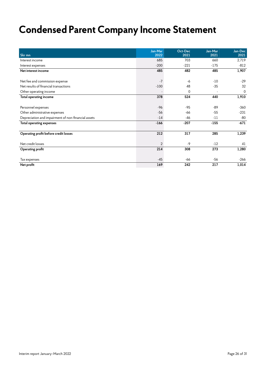## **Condensed Parent Company Income Statement**

|                                                     | Jan-Mar | Oct-Dec  | Jan-Mar | Jan-Dec |
|-----------------------------------------------------|---------|----------|---------|---------|
| Skr mn                                              | 2022    | 2021     | 2021    | 2021    |
| Interest income                                     | 685     | 703      | 660     | 2,719   |
| Interest expenses                                   | $-200$  | $-221$   | $-175$  | $-812$  |
| Net interest income                                 | 485     | 482      | 485     | 1,907   |
|                                                     |         |          |         |         |
| Net fee and commission expense                      | $-7$    | -6       | $-10$   | $-29$   |
| Net results of financial transactions               | $-100$  | 48       | $-35$   | 32      |
| Other operating income                              |         | $\Omega$ |         | 0       |
| Total operating income                              | 378     | 524      | 440     | 1,910   |
|                                                     |         |          |         |         |
| Personnel expenses                                  | $-96$   | $-95$    | $-89$   | $-360$  |
| Other administrative expenses                       | $-56$   | $-66$    | $-55$   | $-231$  |
| Depreciation and impairment of non-financial assets | $-14$   | $-46$    | $-11$   | $-80$   |
| <b>Total operating expenses</b>                     | $-166$  | $-207$   | $-155$  | $-671$  |
|                                                     |         |          |         |         |
| Operating profit before credit losses               | 212     | 317      | 285     | 1,239   |
|                                                     |         |          |         |         |
| Net credit losses                                   | 2       | $-9$     | $-12$   | 41      |
| Operating profit                                    | 214     | 308      | 273     | 1,280   |
|                                                     |         |          |         |         |
| Tax expenses                                        | $-45$   | $-66$    | $-56$   | -266    |
| Net profit                                          | 169     | 242      | 217     | 1,014   |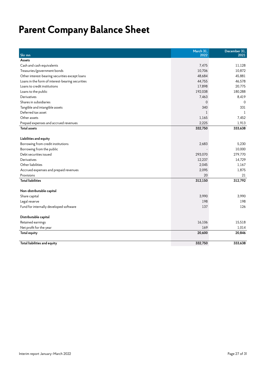## **Parent Company Balance Sheet**

| Skr mn                                           | March 31.<br>2022 | December 31,<br>2021 |
|--------------------------------------------------|-------------------|----------------------|
| <b>Assets</b>                                    |                   |                      |
| Cash and cash equivalents                        | 7,475             | 11,128               |
| Treasuries/government bonds                      | 10,706            | 10,872               |
| Other interest-bearing securities except loans   | 48,684            | 45,881               |
| Loans in the form of interest-bearing securities | 44,755            | 46,578               |
| Loans to credit institutions                     | 17,898            | 20,775               |
| Loans to the public                              | 192,038           | 180,288              |
| Derivatives                                      | 7.463             | 8,419                |
| Shares in subsidiaries                           | $\Omega$          | $\mathbf 0$          |
| Tangible and intangible assets                   | 340               | 331                  |
| Deferred tax asset                               | $\mathbf{1}$      | 1                    |
| Other assets                                     | 1,165             | 7,452                |
| Prepaid expenses and accrued revenues            | 2,225             | 1,913                |
| <b>Total assets</b>                              | 332,750           | 333,638              |
|                                                  |                   |                      |
| Liabilities and equity                           |                   |                      |
| Borrowing from credit institutions               | 2,683             | 5.230                |
| Borrowing from the public                        |                   | 10,000               |
| Debt securities issued                           | 293,070           | 279,770              |
| Derivatives                                      | 12,237            | 14,729               |
| Other liabilities                                | 2,045             | 1,167                |
| Accrued expenses and prepaid revenues            | 2,095             | 1,875                |
| Provisions                                       | 20                | 21                   |
| <b>Total liabilities</b>                         | 312,150           | 312,792              |
| Non-distributable capital                        |                   |                      |
| Share capital                                    | 3.990             | 3,990                |
| Legal reserve                                    | 198               | 198                  |
| Fund for internally developed software           | 137               | 126                  |
| Distributable capital                            |                   |                      |
| Retained earnings                                | 16,106            | 15,518               |
| Net profit for the year                          | 169               | 1,014                |
| Total equity                                     | 20,600            | 20,846               |
| Total liabilities and equity                     | 332,750           | 333,638              |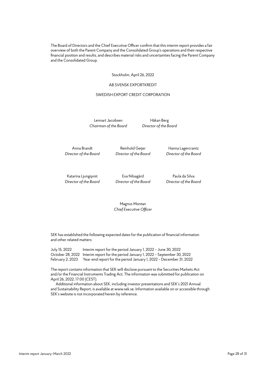The Board of Directors and the Chief Executive Officer confirm that this interim report provides a fair overview of both the Parent Company and the Consolidated Group's operations and their respective financial position and results, and describes material risks and uncertainties facing the Parent Company and the Consolidated Group.

Stockholm, April 26, 2022

#### AB SVENSK EXPORTKREDIT

#### SWEDISH EXPORT CREDIT CORPORATION

Lennart Jacobsen Håkan Berg *Chairman of the Board Director of the Board*

*Director of the Board Director of the Board Director of the Board*

Anna Brandt **Reinhold Geijer** Hanna Lagercrantz

*Director of the Board Director of the Board Director of the Board*

Katarina Ljungqvist Eva Nilsagård Paula da Silva

Magnus Montan *Chief Executive Officer*

SEK has established the following expected dates for the publication of financial information and other related matters:

July 15, 2022 Interim report for the period January 1, 2022 – June 30, 2022 October 28, 2022 Interim report for the period January 1, 2022 – September 30, 2022 February 2, 2023 Year-end report for the period January 1, 2022 – December 31, 2022

The report contains information that SEK will disclose pursuant to the Securities Markets Act and/or the Financial Instruments Trading Act. The information was submitted for publication on April 26, 2022, 17:00 (CEST).

Additional information about SEK, including investor presentations and SEK's 2021 Annual and Sustainability Report, is available at www.sek.se. Information available on or accessible through SEK's website is not incorporated herein by reference.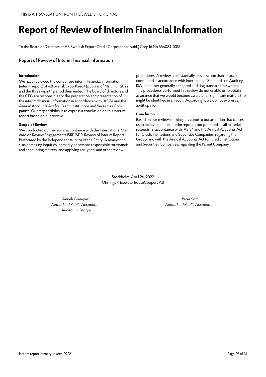## **Report of Review of Interim Financial Information**

To the Board of Directors of AB Swedish Export Credit Corporation (publ.) Corp Id No 556084-0315

#### **Report of Review of Interim Financial Information**

#### **Introduction**

We have reviewed the condensed interim financial information (interim report) of AB Svensk Exportkredit (publ) as of March 31, 2022, and the three-month period then ended. The board of directors and the CEO are responsible for the preparation and presentation of the interim financial information in accordance with IAS 34 and the Annual Accounts Act for Credit Institutions and Securities Companies. Our responsibility is to express a conclusion on this interim report based on our review.

#### **Scope of Review**

We conducted our review in accordance with the International Standard on Review Engagements ISRE 2410, Review of Interim Report Performed by the Independent Auditor of the Entity. A review consists of making inquiries, primarily of persons responsible for financial and accounting matters, and applying analytical and other review

procedures. A review is substantially less in scope than an audit conducted in accordance with International Standards on Auditing, ISA, and other generally accepted auditing standards in Sweden. The procedures performed in a review do not enable us to obtain assurance that we would become aware of all significant matters that might be identified in an audit. Accordingly, we do not express an audit opinion.

#### **Conclusion**

Based on our review, nothing has come to our attention that causes us to believe that the interim report is not prepared, in all material respects, in accordance with IAS 34 and the Annual Accounts Act for Credit Institutions and Securities Companies, regarding the Group, and with the Annual Accounts Act for Credit Institutions and Securities Companies, regarding the Parent Company.

Stockholm, April 26, 2022 Öhrlings PricewaterhouseCoopers AB

Anneli Granqvist **Peter Sott** *Authorized Public Accountant Authorized Public Accountant Auditor in Charge*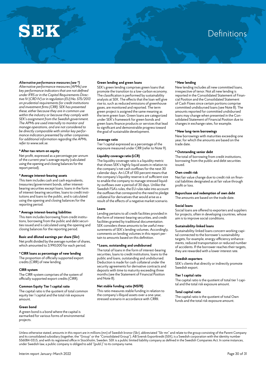# SEK

## **Definitions**

#### *Alternative performance measures (see \*)*

*Alternative performance measures (APMs) are key performance indicators that are not defined under IFRS or in the Capital Requirements Directive IV (CRD IV) or in regulation (EU) No. 575/2013 on prudential requirements for credit institutions and investment firms (CRR). SEK has presented these, either because they are in common use within the industry or because they comply with SEK's assignment from the Swedish government. The APMs are used internally to monitor and manage operations, and are not considered to be directly comparable with similar key performance indicators presented by other companies. For additional information regarding the APMs, refer to www.sek.se.*

#### **\*After-tax return on equity**

Net profit, expressed as a percentage per annum of the current year's average equity (calculated using the opening and closing balances for the report period).

#### **\*Average interest-bearing assets**

This item includes cash and cash equivalents, treasuries/government bonds, other interestbearing securities except loans, loans in the form of interest-bearing securities, loans to credit institutions and loans to the public, and is calculated using the opening and closing balances for the reporting period.

#### **\*Average interest-bearing liabilities**

This item includes borrowing from credit institutions, borrowing from the public and debt securities issued and is calculated using the opening and closing balances for the reporting period.

#### **Basic and diluted earnings per share (Skr)**

Net profit divided by the average number of shares, which amounted to 3,990,000 for each period.

#### **\*CIRR loans as percentage of new lending**

The proportion of officially supported export credits (CIRR) of new lending.

#### **CIRR-system**

The CIRR-system comprises of the system of officially supported export credits (CIRR).

#### **Common Equity Tier 1 capital ratio**

The capital ratio is the quotient of total common equity tier 1 capital and the total risk exposure amount.

#### **Green bond**

A green bond is a bond where the capital is earmarked for various forms of environmental projects.

#### **Green lending and green loans**

SEK's green lending comprises green loans that promote the transition to a low-carbon economy. The classification is performed by sustainability analysts at SEK. The effects that the loan will give rise to, such as reduced emissions of greenhouse gases, are monitored and reported. The term green project is assigned the same meaning as the term green loan. Green loans are categorized under SEK's framework for green bonds and green loans finance products or services that lead to significant and demonstrable progress toward the goal of sustainable development.

#### **Leverage ratio**

Tier 1 capital expressed as a percentage of the exposure measured under CRR (refer to Note 9).

#### **Liquidity coverage ratio (LCR)**

The liquidity coverage ratio is a liquidity metric that shows SEK's highly liquid assets in relation to the company's net cash outflows for the next 30 calendar days. An LCR of 100 percent means that the company's liquidity reserve is of sufficient size to enable the company to manage stressed liquidity outflows over a period of 30 days. Unlike the Swedish FSA's rules, the EU rules take into account the outflows that correspond to the need to pledge collateral for derivatives that would arise as a result of the effects of a negative market scenario.

#### **Loans**

Lending pertains to all credit facilities provided in the form of interest-bearing securities, and credit facilities granted by traditional documentation. SEK considers these amounts to be useful measurements of SEK's lending volumes. Accordingly, comments on lending volumes in this report pertain to amounts based on this definition.

#### **\* Loans, outstanding and undisbursed**

The total of loans in the form of interest-bearing securities, loans to credit institutions, loans to the public and loans, outstanding and undisbursed. Deduction is made for cash collateral under the security agreements for derivative contracts and deposits with time to maturity exceeding three months (see the Statement of Financial Position and Note 8).

#### **Net stable funding ratio (NSFR)**

This ratio measures stable funding in relation to the company's illiquid assets over a one-year, stressed scenario in accordance with CRRII.

#### **\*New lending**

New lending includes all new committed loans, irrespective of tenor. Not all new lending is reported in the Consolidated Statement of Financial Position and the Consolidated Statement of Cash Flows since certain portions comprise committed undisbursed loans (see Note 8). The amounts reported for committed undisbursed loans may change when presented in the Consolidated Statement of Financial Position due to changes in exchange rates, for example.

#### **\*New long-term borrowings**

New borrowings with maturities exceeding one year, for which the amounts are based on the trade date.

#### **\*Outstanding senior debt**

The total of borrowing from credit institutions, borrowing from the public and debt securities issued.

#### **Own credit risk**

Net fair value change due to credit risk on financial liabilities designated as at fair value through profit or loss.

#### **Repurchase and redemption of own debt**

The amounts are based on the trade date.

#### **Social loans**

Social loans are offered to exporters and suppliers for projects, often in developing countries, whose aim is to improve social conditions.

#### **Sustainability-linked loans**

Sustainability-linked loans concern working capital connected to the borrower's sustainability targets, for example, energy-efficiency enhancements, reduced transportation or reduced number of accidents. If the borrower reaches their targets, they are rewarded with a lower interest rate.

#### **Swedish exporters**

SEK's clients that directly or indirectly promote Swedish export.

#### **Tier 1 capital ratio**

The capital ratio is the quotient of total tier 1 capital and the total risk exposure amount.

#### **Total capital ratio**

The capital ratio is the quotient of total Own funds and the total risk exposure amount.

Unless otherwise stated, amounts in this report are in millions (mn) of Swedish kronor (Skr), abbreviated "Skr mn" and relate to the group consisting of the Parent Company and its consolidated subsidiary (together, the "Group" or the "Consolidated Group"). AB Svensk Exportkredit (SEK), is a Swedish corporation with the identity number 556084-0315, and with its registered office in Stockholm, Sweden. SEK is a public limited liability company as defined in the Swedish Companies Act. In some instances, under Swedish law, a public company is obliged to add "(publ.)" to its company name.